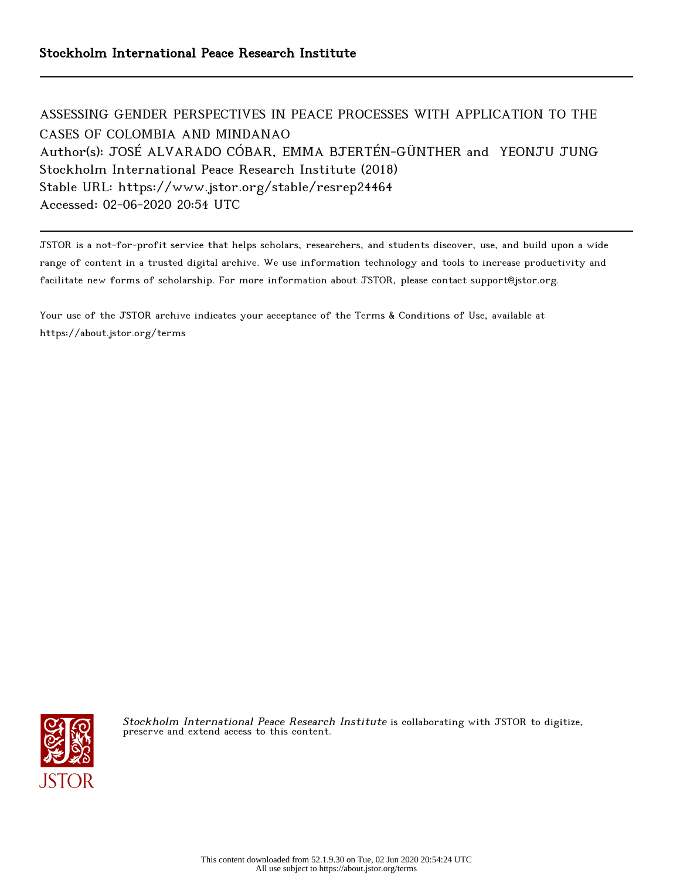ASSESSING GENDER PERSPECTIVES IN PEACE PROCESSES WITH APPLICATION TO THE CASES OF COLOMBIA AND MINDANAO Author(s): JOSÉ ALVARADO CÓBAR, EMMA BJERTÉN-GÜNTHER and YEONJU JUNG Stockholm International Peace Research Institute (2018) Stable URL: https://www.jstor.org/stable/resrep24464 Accessed: 02-06-2020 20:54 UTC

JSTOR is a not-for-profit service that helps scholars, researchers, and students discover, use, and build upon a wide range of content in a trusted digital archive. We use information technology and tools to increase productivity and facilitate new forms of scholarship. For more information about JSTOR, please contact support@jstor.org.

Your use of the JSTOR archive indicates your acceptance of the Terms & Conditions of Use, available at https://about.jstor.org/terms



Stockholm International Peace Research Institute is collaborating with JSTOR to digitize, preserve and extend access to this content.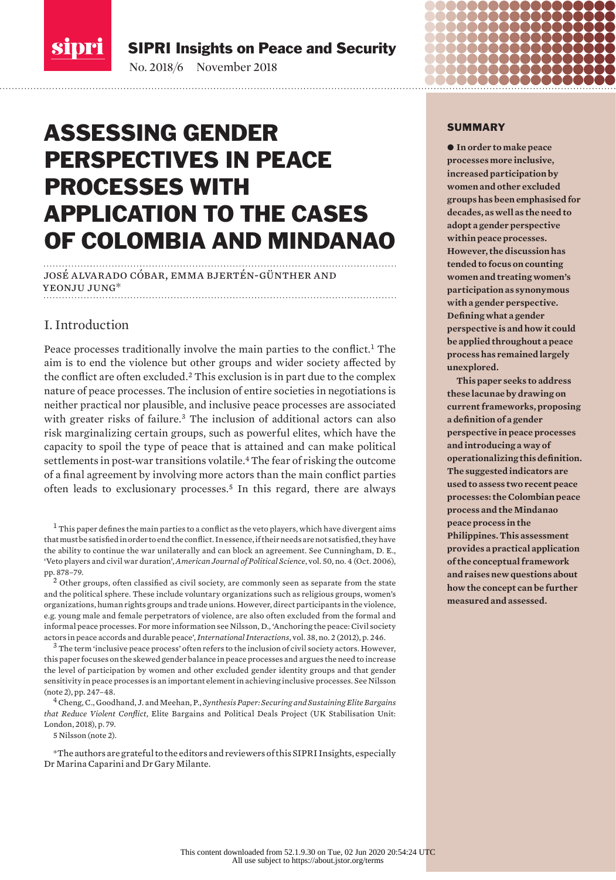sipri

SIPRI Insights on Peace and Security

No. 2018/6 November 2018

# ASSESSING GENDER PERSPECTIVES IN PEACE PROCESSES WITH APPLICATION TO THE CASES OF COLOMBIA AND MINDANAO

josé alvarado cóbar, emma bjertén-günther and yeonju jung\*

# I. Introduction

Peace processes traditionally involve the main parties to the conflict.<sup>1</sup> The aim is to end the violence but other groups and wider society affected by the conflict are often excluded.<sup>2</sup> This exclusion is in part due to the complex nature of peace processes. The inclusion of entire societies in negotiations is neither practical nor plausible, and inclusive peace processes are associated with greater risks of failure.<sup>3</sup> The inclusion of additional actors can also risk marginalizing certain groups, such as powerful elites, which have the capacity to spoil the type of peace that is attained and can make political settlements in post-war transitions volatile.<sup>4</sup> The fear of risking the outcome of a final agreement by involving more actors than the main conflict parties often leads to exclusionary processes.<sup>5</sup> In this regard, there are always

 $<sup>1</sup>$  This paper defines the main parties to a conflict as the veto players, which have divergent aims</sup> that must be satisfied in order to end the conflict. In essence, if their needs are not satisfied, they have the ability to continue the war unilaterally and can block an agreement. See Cunningham, D. E., '[Veto players and civil war duration](https://www.jstor.org/stable/4122921)', *American Journal of Political Science*, vol. 50, no. 4 (Oct. 2006), pp. 878–79.

 $2$  Other groups, often classified as civil society, are commonly seen as separate from the state and the political sphere. These include voluntary organizations such as religious groups, women's organizations, human rights groups and trade unions. However, direct participants in the violence, e.g. young male and female perpetrators of violence, are also often excluded from the formal and informal peace processes. For more information see Nilsson, D., 'Anchoring the peace: Civil society actors in peace accords and durable peace', *International Interactions*, vol. 38, no. 2 (2012), p. 246.

 $3$  The term 'inclusive peace process' often refers to the inclusion of civil society actors. However, this paper focuses on the skewed gender balance in peace processes and argues the need to increase the level of participation by women and other excluded gender identity groups and that gender sensitivity in peace processes is an important element in achieving inclusive processes. See Nilsson (note 2), pp. 247–48.

<sup>4</sup> Cheng, C., Goodhand, J. and Meehan, P., *Synthesis Paper: Securing and Sustaining Elite Bargains that Reduce Violent Conflict*, Elite Bargains and Political Deals Project (UK Stabilisation Unit: London, 2018), p. 79.

5 Nilsson (note 2).

\*The authors are grateful to the editors and reviewers of this SIPRI Insights, especially Dr Marina Caparini and Dr Gary Milante.

#### SUMMARY

 $\bullet$  In order to make peace **processes more inclusive, increased participation by women and other excluded groups has been emphasised for decades, as well as the need to adopt a gender perspective within peace processes. However, the discussion has tended to focus on counting women and treating women's participation as synonymous with a gender perspective. Defining what a gender perspective is and how it could be applied throughout a peace process has remained largely unexplored.**

**This paper seeks to address these lacunae by drawing on current frameworks, proposing a definition of a gender perspective in peace processes and introducing a way of operationalizing this definition. The suggested indicators are used to assess two recent peace processes: the Colombian peace process and the Mindanao peace process in the Philippines. This assessment provides a practical application of the conceptual framework and raises new questions about how the concept can be further measured and assessed.**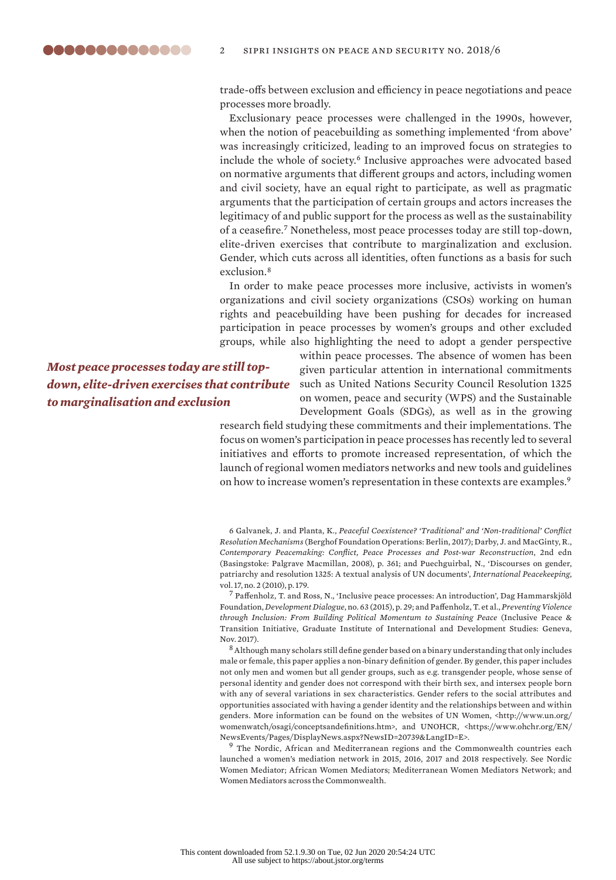trade-offs between exclusion and efficiency in peace negotiations and peace processes more broadly.

Exclusionary peace processes were challenged in the 1990s, however, when the notion of peacebuilding as something implemented 'from above' was increasingly criticized, leading to an improved focus on strategies to include the whole of society.<sup>6</sup> Inclusive approaches were advocated based on normative arguments that different groups and actors, including women and civil society, have an equal right to participate, as well as pragmatic arguments that the participation of certain groups and actors increases the legitimacy of and public support for the process as well as the sustainability of a ceasefire.<sup>7</sup> Nonetheless, most peace processes today are still top-down, elite-driven exercises that contribute to marginalization and exclusion. Gender, which cuts across all identities, often functions as a basis for such exclusion.<sup>8</sup>

In order to make peace processes more inclusive, activists in women's organizations and civil society organizations (CSOs) working on human rights and peacebuilding have been pushing for decades for increased participation in peace processes by women's groups and other excluded groups, while also highlighting the need to adopt a gender perspective

*Most peace processes today are still topdown, elite-driven exercises that contribute to marginalisation and exclusion*

within peace processes. The absence of women has been given particular attention in international commitments such as United Nations Security Council Resolution 1325 on women, peace and security (WPS) and the Sustainable Development Goals (SDGs), as well as in the growing

research field studying these commitments and their implementations. The focus on women's participation in peace processes has recently led to several initiatives and efforts to promote increased representation, of which the launch of regional women mediators networks and new tools and guidelines on how to increase women's representation in these contexts are examples.<sup>9</sup>

6 Galvanek, J. and Planta, K., *Peaceful Coexistence? 'Traditional' and 'Non-traditional' Conflict Resolution Mechanisms* (Berghof Foundation Operations: Berlin, 2017); Darby, J. and MacGinty, R., *Contemporary Peacemaking: Conflict, Peace Processes and Post-war Reconstruction*, 2nd edn (Basingstoke: Palgrave Macmillan, 2008), p. 361; and Puechguirbal, N., 'Discourses on gender, patriarchy and resolution 1325: A textual analysis of UN documents', *International Peacekeeping*, vol. 17, no. 2 (2010), p. 179.

<sup>7</sup> Paffenholz, T. and Ross, N., 'Inclusive peace processes: An introduction', Dag Hammarskjöld Foundation, *Development Dialogue*, no. 63 (2015), p. 29; and Paffenholz, T. et al., *Preventing Violence through Inclusion: From Building Political Momentum to Sustaining Peace* (Inclusive Peace & Transition Initiative, Graduate Institute of International and Development Studies: Geneva, Nov. 2017).

<sup>8</sup> Although many scholars still define gender based on a binary understanding that only includes male or female, this paper applies a non-binary definition of gender. By gender, this paper includes not only men and women but all gender groups, such as e.g. transgender people, whose sense of personal identity and gender does not correspond with their birth sex, and intersex people born with any of several variations in sex characteristics. Gender refers to the social attributes and opportunities associated with having a gender identity and the relationships between and within genders. More information can be found on the websites of UN Women, [<http://www.un.org/](http://www.un.org/womenwatch/osagi/conceptsandefinitions.htm) [womenwatch/osagi/conceptsandefinitions.htm](http://www.un.org/womenwatch/osagi/conceptsandefinitions.htm)>, and UNOHCR, <[https://www.ohchr.org/EN/](https://www.ohchr.org/EN/NewsEvents/Pages/DisplayNews.aspx?NewsID=20739&LangID=E) [NewsEvents/Pages/DisplayNews.aspx?NewsID=20739&LangID=E](https://www.ohchr.org/EN/NewsEvents/Pages/DisplayNews.aspx?NewsID=20739&LangID=E)>.

<sup>9</sup> The Nordic, African and Mediterranean regions and the Commonwealth countries each launched a women's mediation network in 2015, 2016, 2017 and 2018 respectively. See [Nordic](https://fba.se/en/how-we-work/conflict-prevention/nordic-women-mediators/)  [Women Mediator](https://fba.se/en/how-we-work/conflict-prevention/nordic-women-mediators/); [African Women Mediators](https://www.crisisgroup.org/africa/new-network-african-women-mediators-peace); [Mediterranean Women Mediators Network](https://womenmediators.net/); and [Women Mediators across the Commonwealth](https://www.c-r.org/where-we-work/global/women-mediators-across-commonwealth).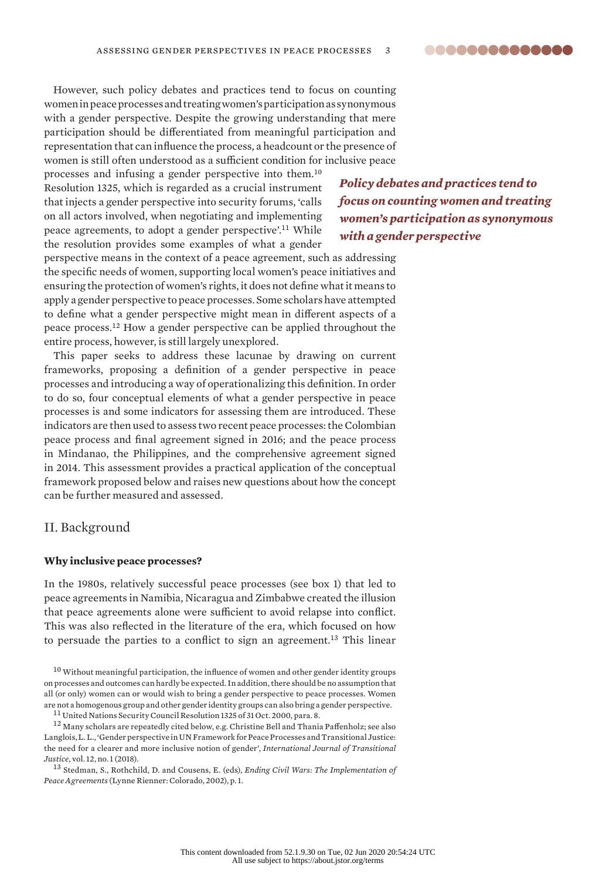

However, such policy debates and practices tend to focus on counting women in peace processes and treating women's participation as synonymous with a gender perspective. Despite the growing understanding that mere participation should be differentiated from meaningful participation and representation that can influence the process, a headcount or the presence of women is still often understood as a sufficient condition for inclusive peace

processes and infusing a gender perspective into them.<sup>10</sup> Resolution 1325, which is regarded as a crucial instrument that injects a gender perspective into security forums, 'calls on all actors involved, when negotiating and implementing peace agreements, to adopt a gender perspective'.<sup>11</sup> While the resolution provides some examples of what a gender

*women's participation as synonymous with a gender perspective*

*Policy debates and practices tend to focus on counting women and treating* 

perspective means in the context of a peace agreement, such as addressing the specific needs of women, supporting local women's peace initiatives and ensuring the protection of women's rights, it does not define what it means to apply a gender perspective to peace processes. Some scholars have attempted to define what a gender perspective might mean in different aspects of a peace process.<sup>12</sup> How a gender perspective can be applied throughout the entire process, however, is still largely unexplored.

This paper seeks to address these lacunae by drawing on current frameworks, proposing a definition of a gender perspective in peace processes and introducing a way of operationalizing this definition. In order to do so, four conceptual elements of what a gender perspective in peace processes is and some indicators for assessing them are introduced. These indicators are then used to assess two recent peace processes: the Colombian peace process and final agreement signed in 2016; and the peace process in Mindanao, the Philippines, and the comprehensive agreement signed in 2014. This assessment provides a practical application of the conceptual framework proposed below and raises new questions about how the concept can be further measured and assessed.

# II. Background

### **Why inclusive peace processes?**

In the 1980s, relatively successful peace processes (see box 1) that led to peace agreements in Namibia, Nicaragua and Zimbabwe created the illusion that peace agreements alone were sufficient to avoid relapse into conflict. This was also reflected in the literature of the era, which focused on how to persuade the parties to a conflict to sign an agreement.<sup>13</sup> This linear

<sup>10</sup> Without meaningful participation, the influence of women and other gender identity groups on processes and outcomes can hardly be expected. In addition, there should be no assumption that all (or only) women can or would wish to bring a gender perspective to peace processes. Women are not a homogenous group and other gender identity groups can also bring a gender perspective.

<sup>11</sup> United Nations Security Council Resolution 1325 of 31 Oct. 2000, para. 8.

<sup>12</sup> Many scholars are repeatedly cited below, e.g. Christine Bell and Thania Paffenholz; see also Langlois, L. L., 'Gender perspective in UN Framework for Peace Processes and Transitional Justice: the need for a clearer and more inclusive notion of gender', *International Journal of Transitional Justice*, vol. 12, no. 1 (2018).

<sup>13</sup> Stedman, S., Rothchild, D. and Cousens, E. (eds), *Ending Civil Wars: The Implementation of Peace Agreements* (Lynne Rienner: Colorado, 2002), p. 1.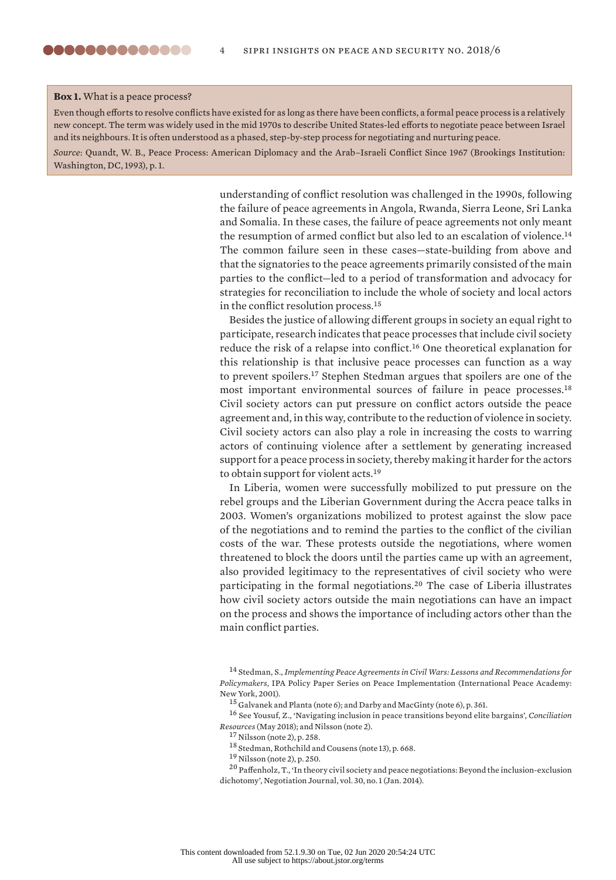#### **Box 1.** What is a peace process?

Even though efforts to resolve conflicts have existed for as long as there have been conflicts, a formal peace process is a relatively new concept. The term was widely used in the mid 1970s to describe United States-led efforts to negotiate peace between Israel and its neighbours. It is often understood as a phased, step-by-step process for negotiating and nurturing peace.

*Source*: Quandt, W. B., Peace Process: American Diplomacy and the Arab–Israeli Conflict Since 1967 (Brookings Institution: Washington, DC, 1993), p. 1.

> understanding of conflict resolution was challenged in the 1990s, following the failure of peace agreements in Angola, Rwanda, Sierra Leone, Sri Lanka and Somalia. In these cases, the failure of peace agreements not only meant the resumption of armed conflict but also led to an escalation of violence.<sup>14</sup> The common failure seen in these cases—state-building from above and that the signatories to the peace agreements primarily consisted of the main parties to the conflict—led to a period of transformation and advocacy for strategies for reconciliation to include the whole of society and local actors in the conflict resolution process.<sup>15</sup>

> Besides the justice of allowing different groups in society an equal right to participate, research indicates that peace processes that include civil society reduce the risk of a relapse into conflict.<sup>16</sup> One theoretical explanation for this relationship is that inclusive peace processes can function as a way to prevent spoilers.<sup>17</sup> Stephen Stedman argues that spoilers are one of the most important environmental sources of failure in peace processes.<sup>18</sup> Civil society actors can put pressure on conflict actors outside the peace agreement and, in this way, contribute to the reduction of violence in society. Civil society actors can also play a role in increasing the costs to warring actors of continuing violence after a settlement by generating increased support for a peace process in society, thereby making it harder for the actors to obtain support for violent acts.<sup>19</sup>

> In Liberia, women were successfully mobilized to put pressure on the rebel groups and the Liberian Government during the Accra peace talks in 2003. Women's organizations mobilized to protest against the slow pace of the negotiations and to remind the parties to the conflict of the civilian costs of the war. These protests outside the negotiations, where women threatened to block the doors until the parties came up with an agreement, also provided legitimacy to the representatives of civil society who were participating in the formal negotiations.<sup>20</sup> The case of Liberia illustrates how civil society actors outside the main negotiations can have an impact on the process and shows the importance of including actors other than the main conflict parties.

<sup>16</sup> See Yousuf, Z., '[Navigating inclusion in peace transitions beyond elite bargains](https://www.c-r.org/downloads/Navigating%20inclusion%20in%20peace%20transitions.pdf)', *Conciliation Resources* (May 2018); and Nilsson (note 2).

<sup>14</sup> Stedman, S., *Implementing Peace Agreements in Civil Wars: Lessons and Recommendations for Policymakers*, IPA Policy Paper Series on Peace Implementation (International Peace Academy: New York, 2001).

<sup>15</sup> Galvanek and Planta (note 6); and Darby and MacGinty (note 6), p. 361.

<sup>17</sup> Nilsson (note 2), p. 258.

<sup>18</sup> Stedman, Rothchild and Cousens (note 13), p. 668.

<sup>19</sup> Nilsson (note 2), p. 250.

<sup>20</sup> Paffenholz, T., 'In theory civil society and peace negotiations: Beyond the inclusion-exclusion dichotomy', Negotiation Journal, vol. 30, no. 1 (Jan. 2014).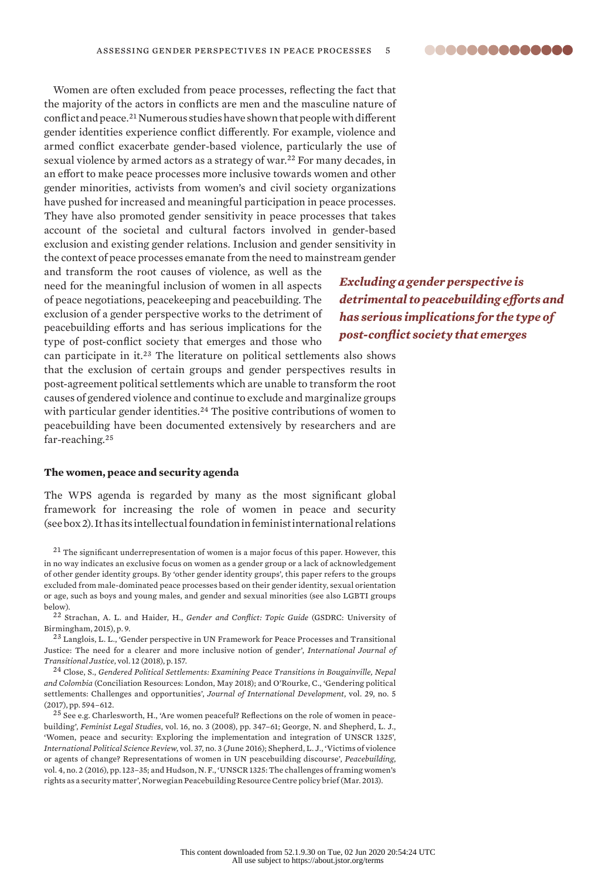

Women are often excluded from peace processes, reflecting the fact that the majority of the actors in conflicts are men and the masculine nature of conflict and peace.<sup>21</sup> Numerous studies have shown that people with different gender identities experience conflict differently. For example, violence and armed conflict exacerbate gender-based violence, particularly the use of sexual violence by armed actors as a strategy of war.<sup>22</sup> For many decades, in an effort to make peace processes more inclusive towards women and other gender minorities, activists from women's and civil society organizations have pushed for increased and meaningful participation in peace processes. They have also promoted gender sensitivity in peace processes that takes account of the societal and cultural factors involved in gender-based exclusion and existing gender relations. Inclusion and gender sensitivity in the context of peace processes emanate from the need to mainstream gender

and transform the root causes of violence, as well as the need for the meaningful inclusion of women in all aspects of peace negotiations, peacekeeping and peacebuilding. The exclusion of a gender perspective works to the detriment of peacebuilding efforts and has serious implications for the type of post-conflict society that emerges and those who

*Excluding a gender perspective is detrimental to peacebuilding efforts and has serious implications for the type of post-conflict society that emerges*

can participate in it.<sup>23</sup> The literature on political settlements also shows that the exclusion of certain groups and gender perspectives results in post-agreement political settlements which are unable to transform the root causes of gendered violence and continue to exclude and marginalize groups with particular gender identities.<sup>24</sup> The positive contributions of women to peacebuilding have been documented extensively by researchers and are far-reaching.<sup>25</sup>

#### **The women, peace and security agenda**

The WPS agenda is regarded by many as the most significant global framework for increasing the role of women in peace and security (see box 2). It has its intellectual foundation in feminist international relations

 $21$  The significant underrepresentation of women is a major focus of this paper. However, this in no way indicates an exclusive focus on women as a gender group or a lack of acknowledgement of other gender identity groups. By 'other gender identity groups', this paper refers to the groups excluded from male-dominated peace processes based on their gender identity, sexual orientation or age, such as boys and young males, and gender and sexual minorities (see also LGBTI groups below).

<sup>22</sup> Strachan, A. L. and Haider, H., *[Gender and Conflict: Topic Guide](http://gsdrc.org/wp-content/uploads/2015/07/gender_conflict.pdf)* (GSDRC: University of Birmingham, 2015), p. 9.

<sup>23</sup> Langlois, L. L., '[Gender perspective in UN Framework for Peace Processes and Transitional](https://academic.oup.com/ijtj/article-abstract/12/1/146/4759192)  [Justice: The need for a clearer and more inclusive notion of gender'](https://academic.oup.com/ijtj/article-abstract/12/1/146/4759192), *International Journal of Transitional Justice*, vol. 12 (2018), p. 157.

<sup>24</sup> Close, S., *Gendered Political Settlements: Examining Peace Transitions in Bougainville, Nepal and Colombia* (Conciliation Resources: London, May 2018); and O'Rourke, C., 'Gendering political settlements: Challenges and opportunities', *Journal of International Development*, vol. 29, no. 5 (2017), pp. 594–612.

<sup>25</sup> See e.g. Charlesworth, H., 'Are women peaceful? Reflections on the role of women in peacebuilding', *Feminist Legal Studies*, vol. 16, no. 3 (2008), pp. 347–61; George, N. and Shepherd, L. J., 'Women, peace and security: Exploring the implementation and integration of UNSCR 1325', *International Political Science Review*, vol. 37, no. 3 (June 2016); Shepherd, L. J., 'Victims of violence or agents of change? Representations of women in UN peacebuilding discourse', *Peacebuilding*, vol. 4, no. 2 (2016), pp. 123–35; and Hudson, N. F., 'UNSCR 1325: The challenges of framing women's rights as a security matter', Norwegian Peacebuilding Resource Centre policy brief (Mar. 2013).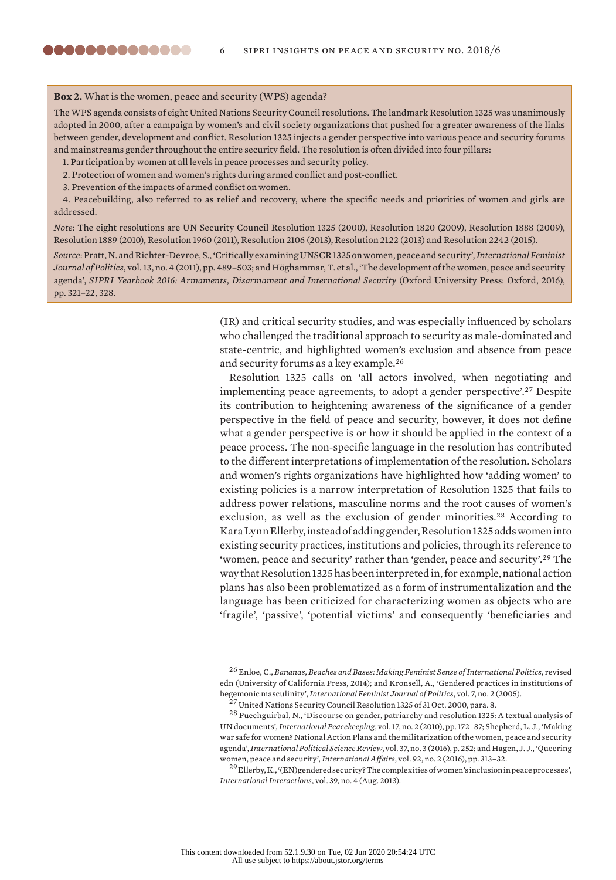# **Box 2.** What is the women, peace and security (WPS) agenda?

,,,,,,,,,,,,,,

The WPS agenda consists of eight United Nations Security Council resolutions. The landmark Resolution 1325 was unanimously adopted in 2000, after a campaign by women's and civil society organizations that pushed for a greater awareness of the links between gender, development and conflict. Resolution 1325 injects a gender perspective into various peace and security forums and mainstreams gender throughout the entire security field. The resolution is often divided into four pillars:

- 1. Participation by women at all levels in peace processes and security policy.
- 2. Protection of women and women's rights during armed conflict and post-conflict.

3. Prevention of the impacts of armed conflict on women.

4. Peacebuilding, also referred to as relief and recovery, where the specific needs and priorities of women and girls are addressed.

*Note*: The eight resolutions are UN Security Council Resolution 1325 (2000), Resolution 1820 (2009), Resolution 1888 (2009), Resolution 1889 (2010), Resolution 1960 (2011), Resolution 2106 (2013), Resolution 2122 (2013) and Resolution 2242 (2015).

*Source*:Pratt, N. and Richter-Devroe, S., 'Critically examining UNSCR 1325 on women, peace and security', *International Feminist Journal of Politics*, vol. 13, no. 4 (2011), pp. 489–503; and Höghammar, T. et al., 'The development of the women, peace and security agenda', *SIPRI Yearbook 2016: Armaments, Disarmament and International Security* (Oxford University Press: Oxford, 2016), pp. 321–22, 328.

> (IR) and critical security studies, and was especially influenced by scholars who challenged the traditional approach to security as male-dominated and state-centric, and highlighted women's exclusion and absence from peace and security forums as a key example.<sup>26</sup>

> Resolution 1325 calls on 'all actors involved, when negotiating and implementing peace agreements, to adopt a gender perspective'.<sup>27</sup> Despite its contribution to heightening awareness of the significance of a gender perspective in the field of peace and security, however, it does not define what a gender perspective is or how it should be applied in the context of a peace process. The non-specific language in the resolution has contributed to the different interpretations of implementation of the resolution. Scholars and women's rights organizations have highlighted how 'adding women' to existing policies is a narrow interpretation of Resolution 1325 that fails to address power relations, masculine norms and the root causes of women's exclusion, as well as the exclusion of gender minorities.<sup>28</sup> According to Kara Lynn Ellerby, instead of adding gender, Resolution 1325 adds women into existing security practices, institutions and policies, through its reference to 'women, peace and security' rather than 'gender, peace and security'.<sup>29</sup> The way that Resolution 1325 has been interpreted in, for example, national action plans has also been problematized as a form of instrumentalization and the language has been criticized for characterizing women as objects who are 'fragile', 'passive', 'potential victims' and consequently 'beneficiaries and

<sup>26</sup> Enloe, C., *Bananas, Beaches and Bases: Making Feminist Sense of International Politics*, revised edn (University of California Press, 2014); and Kronsell, A., 'Gendered practices in institutions of hegemonic masculinity', *International Feminist Journal of Politics*, vol. 7, no. 2 (2005).

<sup>&</sup>lt;sup>27</sup> United Nations Security Council Resolution 1325 of 31 Oct. 2000, para. 8.

<sup>28</sup> Puechguirbal, N., 'Discourse on gender, patriarchy and resolution 1325: A textual analysis of UN documents', *International Peacekeeping*, vol. 17, no. 2 (2010), pp. 172–87; Shepherd, L. J., 'Making war safe for women? National Action Plans and the militarization of the women, peace and security agenda', *International Political Science Review*, vol. 37, no. 3 (2016), p. 252; and Hagen, J. J., 'Queering women, peace and security', *International Affairs*, vol. 92, no. 2 (2016), pp. 313–32.

<sup>29</sup> Ellerby, K., '(EN)gendered security? The complexities of women's inclusion in peace processes', *International Interactions*, vol. 39, no. 4 (Aug. 2013).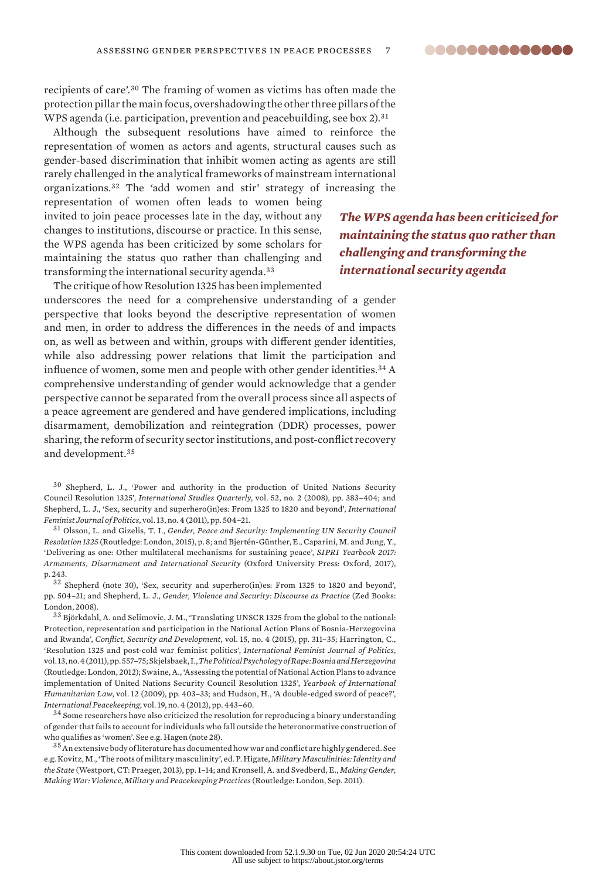recipients of care'.<sup>30</sup> The framing of women as victims has often made the protection pillar the main focus, overshadowing the other three pillars of the WPS agenda (i.e. participation, prevention and peacebuilding, see box 2).<sup>31</sup>

Although the subsequent resolutions have aimed to reinforce the representation of women as actors and agents, structural causes such as gender-based discrimination that inhibit women acting as agents are still rarely challenged in the analytical frameworks of mainstream international organizations.<sup>32</sup> The 'add women and stir' strategy of increasing the

representation of women often leads to women being invited to join peace processes late in the day, without any changes to institutions, discourse or practice. In this sense, the WPS agenda has been criticized by some scholars for maintaining the status quo rather than challenging and transforming the international security agenda.<sup>33</sup>

The critique of how Resolution 1325 has been implemented

underscores the need for a comprehensive understanding of a gender perspective that looks beyond the descriptive representation of women and men, in order to address the differences in the needs of and impacts on, as well as between and within, groups with different gender identities, while also addressing power relations that limit the participation and influence of women, some men and people with other gender identities.<sup>34</sup> A comprehensive understanding of gender would acknowledge that a gender perspective cannot be separated from the overall process since all aspects of a peace agreement are gendered and have gendered implications, including disarmament, demobilization and reintegration (DDR) processes, power sharing, the reform of security sector institutions, and post-conflict recovery and development.<sup>35</sup>

<sup>30</sup> Shepherd, L. J., 'Power and authority in the production of United Nations Security Council Resolution 1325', *International Studies Quarterly*, vol. 52, no. 2 (2008), pp. 383–404; and Shepherd, L. J., 'Sex, security and superhero(in)es: From 1325 to 1820 and beyond', *International Feminist Journal of Politics*, vol. 13, no. 4 (2011), pp. 504–21.

<sup>31</sup> Olsson, L. and Gizelis, T. I., *Gender, Peace and Security: Implementing UN Security Council Resolution 1325* (Routledge: London, 2015), p. 8; and Bjertén-Günther, E., Caparini, M. and Jung, Y., 'Delivering as one: Other multilateral mechanisms for sustaining peace', *SIPRI Yearbook 2017: Armaments, Disarmament and International Security* (Oxford University Press: Oxford, 2017), p. 243.

<sup>32</sup> Shepherd (note 30), 'Sex, security and superhero(in)es: From 1325 to 1820 and beyond', pp. 504–21; and Shepherd, L. J., *Gender, Violence and Security: Discourse as Practice* (Zed Books: London, 2008).

<sup>33</sup> Björkdahl, A. and Selimovic, J. M., 'Translating UNSCR 1325 from the global to the national: Protection, representation and participation in the National Action Plans of Bosnia-Herzegovina and Rwanda', *Conflict, Security and Development*, vol. 15, no. 4 (2015), pp. 311–35; Harrington, C., 'Resolution 1325 and post-cold war feminist politics', *International Feminist Journal of Politics*, vol. 13, no. 4 (2011), pp. 557–75; Skjelsbaek, I., *The Political Psychology of Rape: Bosnia and Herzegovina* (Routledge: London, 2012); Swaine, A., 'Assessing the potential of National Action Plans to advance implementation of United Nations Security Council Resolution 1325', *Yearbook of International Humanitarian Law*, vol. 12 (2009), pp. 403–33; and Hudson, H., 'A double-edged sword of peace?', *International Peacekeeping*, vol. 19, no. 4 (2012), pp. 443–60.

 $34$  Some researchers have also criticized the resolution for reproducing a binary understanding of gender that fails to account for individuals who fall outside the heteronormative construction of who qualifies as 'women'. See e.g. Hagen (note 28).

 $^{35}\mathrm{An}$  extensive body of literature has documented how war and conflict are highly gendered. See e.g. Kovitz, M., 'The roots of military masculinity', ed. P. Higate, *Military Masculinities: Identity and the State* (Westport, CT: Praeger, 2013), pp. 1–14; and Kronsell, A. and Svedberd, E., *Making Gender, Making War: Violence, Military and Peacekeeping Practices* (Routledge: London, Sep. 2011).

*The WPS agenda has been criticized for maintaining the status quo rather than challenging and transforming the international security agenda*

8868888888888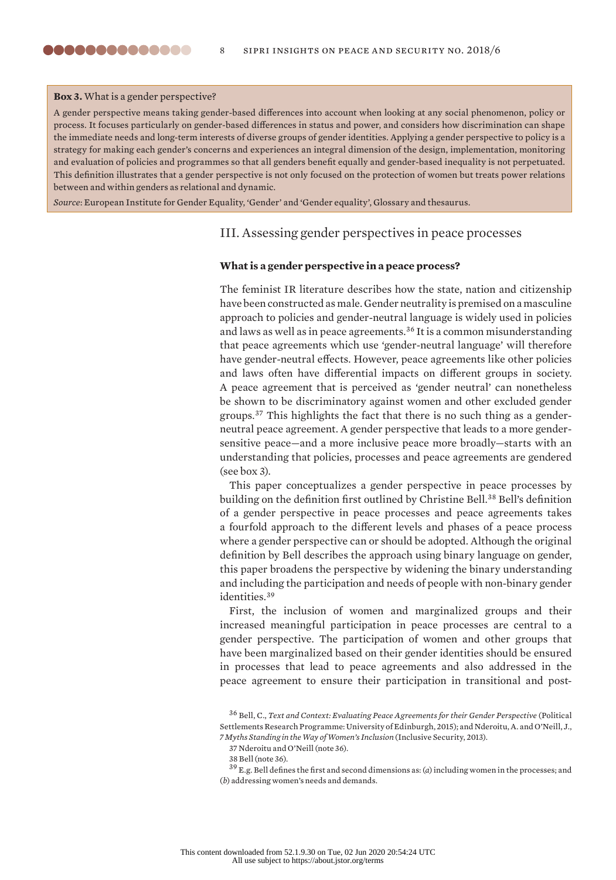#### **Box 3.** What is a gender perspective?

,,,,,,,,,,,,,,

A gender perspective means taking gender-based differences into account when looking at any social phenomenon, policy or process. It focuses particularly on gender-based differences in status and power, and considers how discrimination can shape the immediate needs and long-term interests of diverse groups of gender identities. Applying a gender perspective to policy is a strategy for making each gender's concerns and experiences an integral dimension of the design, implementation, monitoring and evaluation of policies and programmes so that all genders benefit equally and gender-based inequality is not perpetuated. This definition illustrates that a gender perspective is not only focused on the protection of women but treats power relations between and within genders as relational and dynamic.

*Source*: European Institute for Gender Equality, 'Gender' and 'Gender equality', [Glossary and thesaurus.](http://eige.europa.eu/rdc/thesaurus)

# III. Assessing gender perspectives in peace processes

### **What is a gender perspective in a peace process?**

The feminist IR literature describes how the state, nation and citizenship have been constructed as male. Gender neutrality is premised on a masculine approach to policies and gender-neutral language is widely used in policies and laws as well as in peace agreements.<sup>36</sup> It is a common misunderstanding that peace agreements which use 'gender-neutral language' will therefore have gender-neutral effects. However, peace agreements like other policies and laws often have differential impacts on different groups in society. A peace agreement that is perceived as 'gender neutral' can nonetheless be shown to be discriminatory against women and other excluded gender groups.37 This highlights the fact that there is no such thing as a genderneutral peace agreement. A gender perspective that leads to a more gendersensitive peace—and a more inclusive peace more broadly—starts with an understanding that policies, processes and peace agreements are gendered (see box 3).

This paper conceptualizes a gender perspective in peace processes by building on the definition first outlined by Christine Bell.<sup>38</sup> Bell's definition of a gender perspective in peace processes and peace agreements takes a fourfold approach to the different levels and phases of a peace process where a gender perspective can or should be adopted. Although the original definition by Bell describes the approach using binary language on gender, this paper broadens the perspective by widening the binary understanding and including the participation and needs of people with non-binary gender identities.<sup>39</sup>

First, the inclusion of women and marginalized groups and their increased meaningful participation in peace processes are central to a gender perspective. The participation of women and other groups that have been marginalized based on their gender identities should be ensured in processes that lead to peace agreements and also addressed in the peace agreement to ensure their participation in transitional and post-

<sup>&</sup>lt;sup>36</sup> Bell, C., *Text and Context: Evaluating Peace Agreements for their Gender Perspective* (Political Settlements Research Programme: University of Edinburgh, 2015); and Nderoitu, A. and O'Neill, J., *[7 Myths Standing in the Way of Women's Inclusion](http://www.inclusivesecurity.org/wp-content/uploads/2017/08/Seven-Myths.pdf)* (Inclusive Security, 2013).

<sup>37</sup> Nderoitu and O'Neill (note 36).

<sup>38</sup> Bell (note 36).

<sup>39</sup> E.g. Bell defines the first and second dimensions as: (*a*) including women in the processes; and (*b*) addressing women's needs and demands.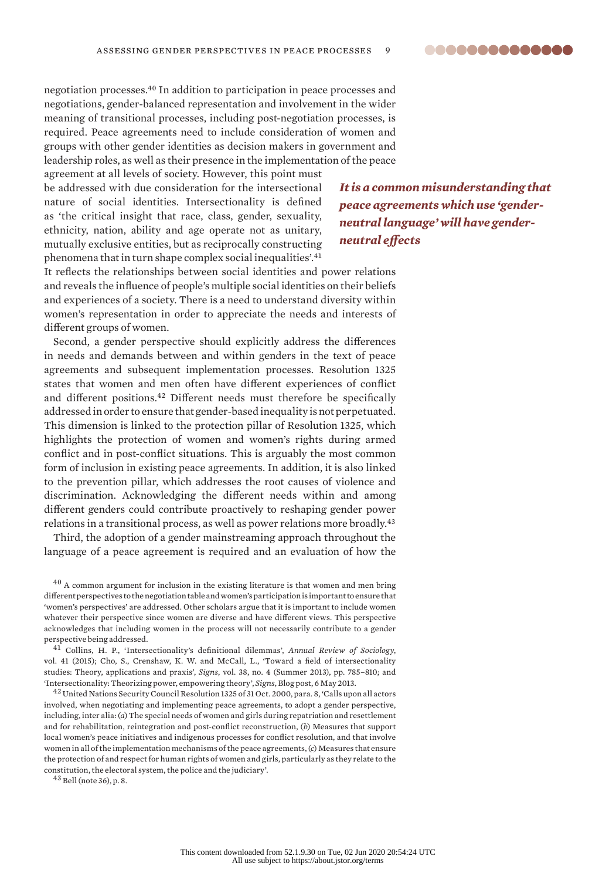

negotiation processes.<sup>40</sup> In addition to participation in peace processes and negotiations, gender-balanced representation and involvement in the wider meaning of transitional processes, including post-negotiation processes, is required. Peace agreements need to include consideration of women and groups with other gender identities as decision makers in government and leadership roles, as well as their presence in the implementation of the peace agreement at all levels of society. However, this point must

be addressed with due consideration for the intersectional nature of social identities. Intersectionality is defined as 'the critical insight that race, class, gender, sexuality, ethnicity, nation, ability and age operate not as unitary, mutually exclusive entities, but as reciprocally constructing phenomena that in turn shape complex social inequalities'.<sup>41</sup>

*It is a common misunderstanding that peace agreements which use 'genderneutral language' will have genderneutral effects*

It reflects the relationships between social identities and power relations and reveals the influence of people's multiple social identities on their beliefs and experiences of a society. There is a need to understand diversity within women's representation in order to appreciate the needs and interests of different groups of women.

Second, a gender perspective should explicitly address the differences in needs and demands between and within genders in the text of peace agreements and subsequent implementation processes. Resolution 1325 states that women and men often have different experiences of conflict and different positions.<sup>42</sup> Different needs must therefore be specifically addressed in order to ensure that gender-based inequality is not perpetuated. This dimension is linked to the protection pillar of Resolution 1325, which highlights the protection of women and women's rights during armed conflict and in post-conflict situations. This is arguably the most common form of inclusion in existing peace agreements. In addition, it is also linked to the prevention pillar, which addresses the root causes of violence and discrimination. Acknowledging the different needs within and among different genders could contribute proactively to reshaping gender power relations in a transitional process, as well as power relations more broadly.<sup>43</sup>

Third, the adoption of a gender mainstreaming approach throughout the language of a peace agreement is required and an evaluation of how the

 $40$  A common argument for inclusion in the existing literature is that women and men bring different perspectives to the negotiation table and women's participation is important to ensure that 'women's perspectives' are addressed. Other scholars argue that it is important to include women whatever their perspective since women are diverse and have different views. This perspective acknowledges that including women in the process will not necessarily contribute to a gender perspective being addressed.

<sup>41</sup> Collins, H. P., 'Intersectionality's definitional dilemmas', *Annual Review of Sociology*, vol. 41 (2015); Cho, S., Crenshaw, K. W. and McCall, L., 'Toward a field of intersectionality studies: Theory, applications and praxis', *Signs*, vol. 38, no. 4 (Summer 2013), pp. 785–810; and '[Intersectionality: Theorizing power, empowering theory](http://signsjournal.org/intersectionality-theorizing-power-empowering-theory-summer-2013-vol-38-no-4/)', *Signs*, Blog post, 6 May 2013.

<sup>42</sup> United Nations Security Council Resolution 1325 of 31 Oct. 2000, para. 8, 'Calls upon all actors involved, when negotiating and implementing peace agreements, to adopt a gender perspective, including, inter alia: (*a*) The special needs of women and girls during repatriation and resettlement and for rehabilitation, reintegration and post-conflict reconstruction, (*b*) Measures that support local women's peace initiatives and indigenous processes for conflict resolution, and that involve women in all of the implementation mechanisms of the peace agreements, (*c*) Measures that ensure the protection of and respect for human rights of women and girls, particularly as they relate to the constitution, the electoral system, the police and the judiciary'.

 $43$  Bell (note 36), p. 8.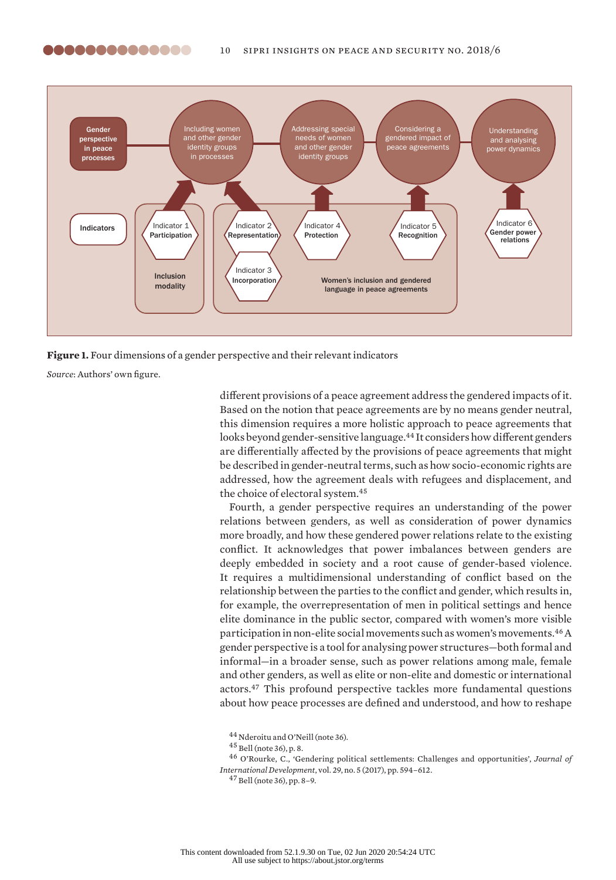,,,,,,,,,,,,,,



**Figure 1.** Four dimensions of a gender perspective and their relevant indicators

*Source*: Authors' own figure.

different provisions of a peace agreement address the gendered impacts of it. Based on the notion that peace agreements are by no means gender neutral, this dimension requires a more holistic approach to peace agreements that looks beyond gender-sensitive language.<sup>44</sup> It considers how different genders are differentially affected by the provisions of peace agreements that might be described in gender-neutral terms, such as how socio-economic rights are addressed, how the agreement deals with refugees and displacement, and the choice of electoral system.<sup>45</sup>

Fourth, a gender perspective requires an understanding of the power relations between genders, as well as consideration of power dynamics more broadly, and how these gendered power relations relate to the existing conflict. It acknowledges that power imbalances between genders are deeply embedded in society and a root cause of gender-based violence. It requires a multidimensional understanding of conflict based on the relationship between the parties to the conflict and gender, which results in, for example, the overrepresentation of men in political settings and hence elite dominance in the public sector, compared with women's more visible participation in non-elite social movements such as women's movements.<sup>46</sup> A gender perspective is a tool for analysing power structures—both formal and informal—in a broader sense, such as power relations among male, female and other genders, as well as elite or non-elite and domestic or international actors.<sup>47</sup> This profound perspective tackles more fundamental questions about how peace processes are defined and understood, and how to reshape

<sup>46</sup> O'Rourke, C., 'Gendering political settlements: Challenges and opportunities', *Journal of International Development*, vol. 29, no. 5 (2017), pp. 594–612.

 $47$  Bell (note 36), pp. 8–9.

<sup>44</sup> Nderoitu and O'Neill (note 36).

<sup>45</sup> Bell (note 36), p. 8.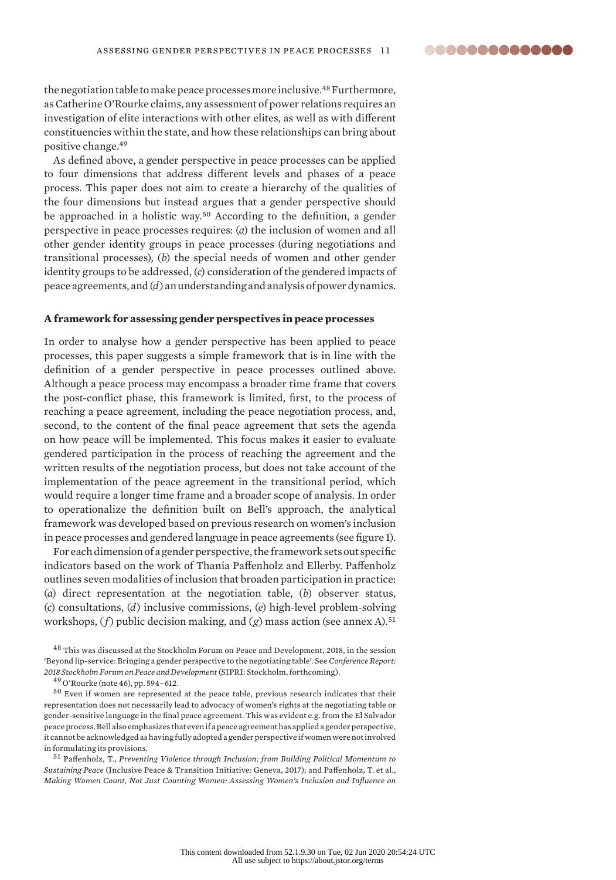..............

the negotiation table to make peace processes more inclusive.<sup>48</sup> Furthermore, as Catherine O'Rourke claims, any assessment of power relations requires an investigation of elite interactions with other elites, as well as with different constituencies within the state, and how these relationships can bring about positive change.<sup>49</sup>

As defined above, a gender perspective in peace processes can be applied to four dimensions that address different levels and phases of a peace process. This paper does not aim to create a hierarchy of the qualities of the four dimensions but instead argues that a gender perspective should be approached in a holistic way.<sup>50</sup> According to the definition, a gender perspective in peace processes requires: (*a*) the inclusion of women and all other gender identity groups in peace processes (during negotiations and transitional processes), (*b*) the special needs of women and other gender identity groups to be addressed, (*c*) consideration of the gendered impacts of peace agreements, and (*d*) an understanding and analysis of power dynamics.

#### **A framework for assessing gender perspectives in peace processes**

In order to analyse how a gender perspective has been applied to peace processes, this paper suggests a simple framework that is in line with the definition of a gender perspective in peace processes outlined above. Although a peace process may encompass a broader time frame that covers the post-conflict phase, this framework is limited, first, to the process of reaching a peace agreement, including the peace negotiation process, and, second, to the content of the final peace agreement that sets the agenda on how peace will be implemented. This focus makes it easier to evaluate gendered participation in the process of reaching the agreement and the written results of the negotiation process, but does not take account of the implementation of the peace agreement in the transitional period, which would require a longer time frame and a broader scope of analysis. In order to operationalize the definition built on Bell's approach, the analytical framework was developed based on previous research on women's inclusion in peace processes and gendered language in peace agreements (see figure 1).

For each dimension of a gender perspective, the framework sets out specific indicators based on the work of Thania Paffenholz and Ellerby. Paffenholz outlines seven modalities of inclusion that broaden participation in practice: (*a*) direct representation at the negotiation table, (*b*) observer status, (*c*) consultations, (*d*) inclusive commissions, (*e*) high-level problem-solving workshops, (*f*) public decision making, and (*g*) mass action (see annex A).<sup>51</sup>

 $^{48}$  This was discussed at the Stockholm Forum on Peace and Development, 2018, in the session 'Beyond lip-service: Bringing a gender perspective to the negotiating table'. See *Conference Report: 2018 Stockholm Forum on Peace and Development* (SIPRI: Stockholm, forthcoming).

<sup>49</sup> O'Rourke (note 46), pp. 594–612.

<sup>50</sup> Even if women are represented at the peace table, previous research indicates that their representation does not necessarily lead to advocacy of women's rights at the negotiating table or gender-sensitive language in the final peace agreement. This was evident e.g. from the El Salvador peace process. Bell also emphasizes that even if a peace agreement has applied a gender perspective, it cannot be acknowledged as having fully adopted a gender perspective if women were not involved in formulating its provisions.

<sup>51</sup> Paffenholz, T., *Preventing Violence through Inclusion: from Building Political Momentum to Sustaining Peace* (Inclusive Peace & Transition Initiative: Geneva, 2017); and Paffenholz, T. et al., *Making Women Count, Not Just Counting Women: Assessing Women's Inclusion and Influence on*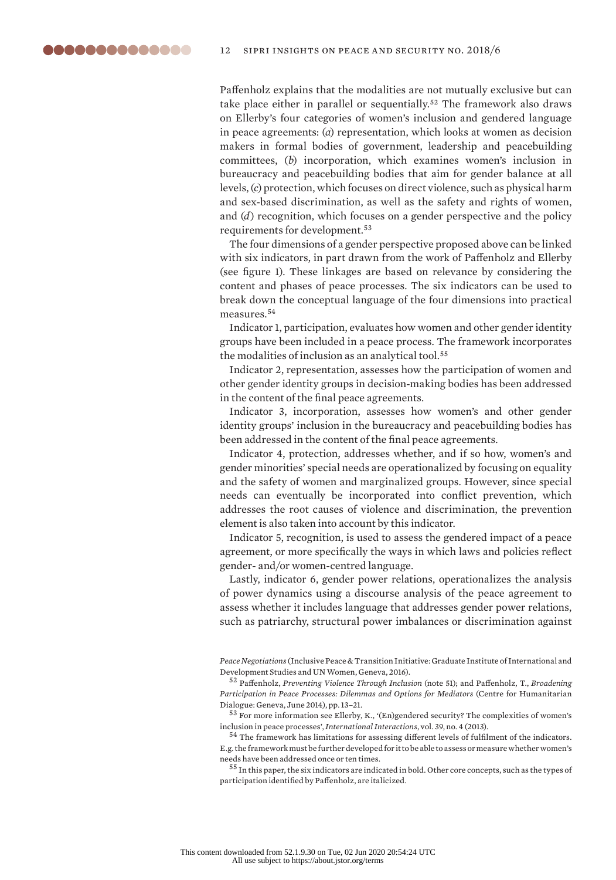Paffenholz explains that the modalities are not mutually exclusive but can take place either in parallel or sequentially.<sup>52</sup> The framework also draws on Ellerby's four categories of women's inclusion and gendered language in peace agreements: (*a*) representation, which looks at women as decision makers in formal bodies of government, leadership and peacebuilding committees, (*b*) incorporation, which examines women's inclusion in bureaucracy and peacebuilding bodies that aim for gender balance at all levels, (*c*) protection, which focuses on direct violence, such as physical harm and sex-based discrimination, as well as the safety and rights of women, and (*d*) recognition, which focuses on a gender perspective and the policy requirements for development.<sup>53</sup>

The four dimensions of a gender perspective proposed above can be linked with six indicators, in part drawn from the work of Paffenholz and Ellerby (see figure 1). These linkages are based on relevance by considering the content and phases of peace processes. The six indicators can be used to break down the conceptual language of the four dimensions into practical measures.<sup>54</sup>

Indicator 1, participation, evaluates how women and other gender identity groups have been included in a peace process. The framework incorporates the modalities of inclusion as an analytical tool.<sup>55</sup>

Indicator 2, representation, assesses how the participation of women and other gender identity groups in decision-making bodies has been addressed in the content of the final peace agreements.

Indicator 3, incorporation, assesses how women's and other gender identity groups' inclusion in the bureaucracy and peacebuilding bodies has been addressed in the content of the final peace agreements.

Indicator 4, protection, addresses whether, and if so how, women's and gender minorities' special needs are operationalized by focusing on equality and the safety of women and marginalized groups. However, since special needs can eventually be incorporated into conflict prevention, which addresses the root causes of violence and discrimination, the prevention element is also taken into account by this indicator.

Indicator 5, recognition, is used to assess the gendered impact of a peace agreement, or more specifically the ways in which laws and policies reflect gender- and/or women-centred language.

Lastly, indicator 6, gender power relations, operationalizes the analysis of power dynamics using a discourse analysis of the peace agreement to assess whether it includes language that addresses gender power relations, such as patriarchy, structural power imbalances or discrimination against

<sup>52</sup> Paffenholz, *Preventing Violence Through Inclusion* (note 51); and Paffenholz, T., *Broadening Participation in Peace Processes: Dilemmas and Options for Mediators* (Centre for Humanitarian Dialogue: Geneva, June 2014), pp. 13–21.

<sup>53</sup> For more information see Ellerby, K., '(En)gendered security? The complexities of women's inclusion in peace processes', *International Interactions*, vol. 39, no. 4 (2013).

<sup>54</sup> The framework has limitations for assessing different levels of fulfilment of the indicators. E.g. the framework must be further developed for it to be able to assess or measure whether women's needs have been addressed once or ten times.

<sup>55</sup> In this paper, the six indicators are indicated in bold. Other core concepts, such as the types of participation identified by Paffenholz, are italicized.

*Peace Negotiations* (Inclusive Peace & Transition Initiative: Graduate Institute of International and Development Studies and UN Women, Geneva, 2016).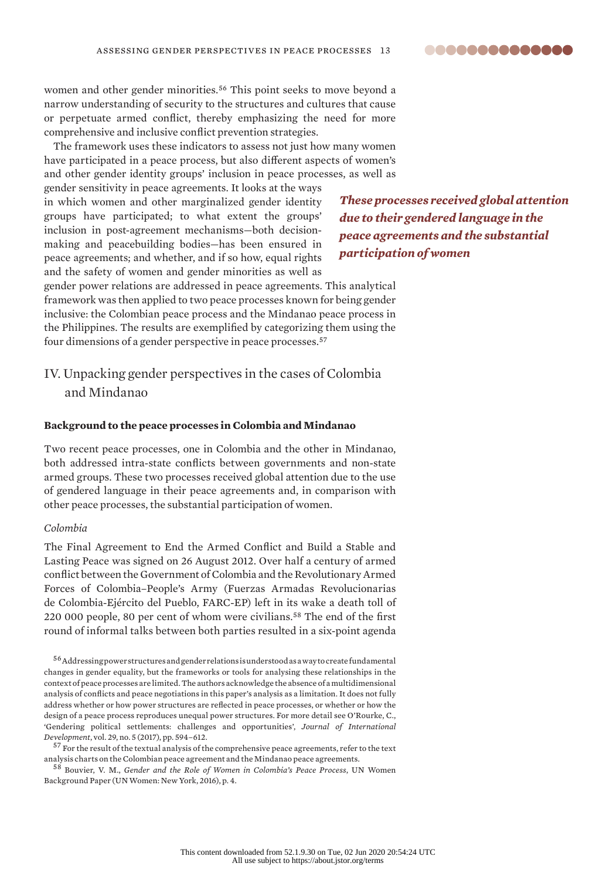

women and other gender minorities.<sup>56</sup> This point seeks to move beyond a narrow understanding of security to the structures and cultures that cause or perpetuate armed conflict, thereby emphasizing the need for more comprehensive and inclusive conflict prevention strategies.

The framework uses these indicators to assess not just how many women have participated in a peace process, but also different aspects of women's and other gender identity groups' inclusion in peace processes, as well as

gender sensitivity in peace agreements. It looks at the ways in which women and other marginalized gender identity groups have participated; to what extent the groups' inclusion in post-agreement mechanisms—both decisionmaking and peacebuilding bodies—has been ensured in peace agreements; and whether, and if so how, equal rights and the safety of women and gender minorities as well as

*These processes received global attention due to their gendered language in the peace agreements and the substantial participation of women*

gender power relations are addressed in peace agreements. This analytical framework was then applied to two peace processes known for being gender inclusive: the Colombian peace process and the Mindanao peace process in the Philippines. The results are exemplified by categorizing them using the four dimensions of a gender perspective in peace processes.<sup>57</sup>

# IV. Unpacking gender perspectives in the cases of Colombia and Mindanao

#### **Background to the peace processes in Colombia and Mindanao**

Two recent peace processes, one in Colombia and the other in Mindanao, both addressed intra-state conflicts between governments and non-state armed groups. These two processes received global attention due to the use of gendered language in their peace agreements and, in comparison with other peace processes, the substantial participation of women.

#### *Colombia*

The Final Agreement to End the Armed Conflict and Build a Stable and Lasting Peace was signed on 26 August 2012. Over half a century of armed conflict between the Government of Colombia and the Revolutionary Armed Forces of Colombia–People's Army (Fuerzas Armadas Revolucionarias de Colombia-Ejército del Pueblo, FARC-EP) left in its wake a death toll of 220 000 people, 80 per cent of whom were civilians.<sup>58</sup> The end of the first round of informal talks between both parties resulted in a six-point agenda

 $^{56}\rm{Address}$  ing power structures and gender relations is understood as a way to create fundamental changes in gender equality, but the frameworks or tools for analysing these relationships in the context of peace processes are limited. The authors acknowledge the absence of a multidimensional analysis of conflicts and peace negotiations in this paper's analysis as a limitation. It does not fully address whether or how power structures are reflected in peace processes, or whether or how the design of a peace process reproduces unequal power structures. For more detail see O'Rourke, C., 'Gendering political settlements: challenges and opportunities', *Journal of International Development*, vol. 29, no. 5 (2017), pp. 594–612.

 $^{57}$  For the result of the textual analysis of the comprehensive peace agreements, refer to the text [analysis charts on the Colombian peace agreement and the Mindanao peace agreements.](https://www.sipri.org/sites/default/files/2018-11/sipriinsight1806-charts.pdf)

<sup>58</sup> Bouvier, V. M., *Gender and the Role of Women in Colombia's Peace Process*, UN Women Background Paper (UN Women: New York, 2016), p. 4.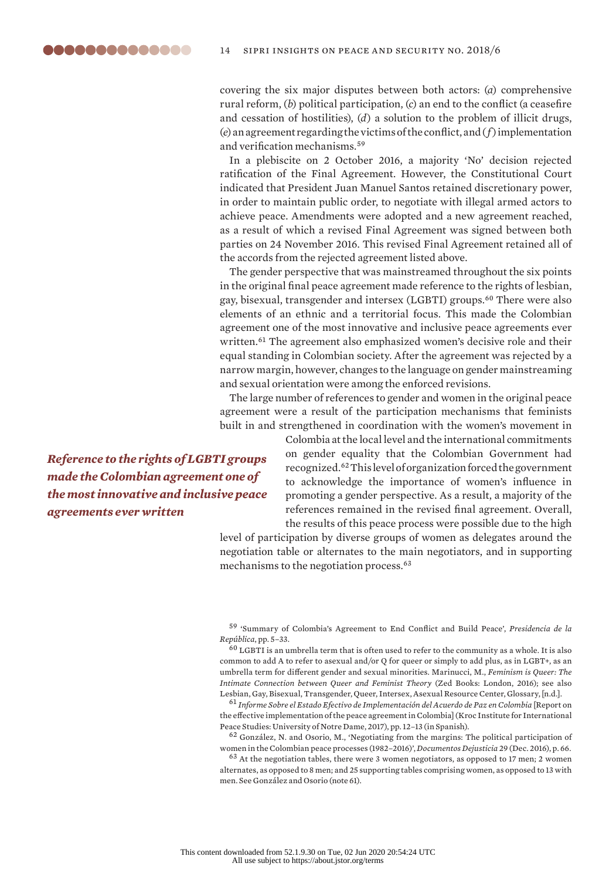covering the six major disputes between both actors: (*a*) comprehensive rural reform, (*b*) political participation, (*c*) an end to the conflict (a ceasefire and cessation of hostilities), (*d*) a solution to the problem of illicit drugs, (*e*) an agreement regarding the victims of the conflict, and (*f*) implementation and verification mechanisms.<sup>59</sup>

In a plebiscite on 2 October 2016, a majority 'No' decision rejected ratification of the Final Agreement. However, the Constitutional Court indicated that President Juan Manuel Santos retained discretionary power, in order to maintain public order, to negotiate with illegal armed actors to achieve peace. Amendments were adopted and a new agreement reached, as a result of which a revised Final Agreement was signed between both parties on 24 November 2016. This revised Final Agreement retained all of the accords from the rejected agreement listed above.

The gender perspective that was mainstreamed throughout the six points in the original final peace agreement made reference to the rights of lesbian, gay, bisexual, transgender and intersex (LGBTI) groups.<sup>60</sup> There were also elements of an ethnic and a territorial focus. This made the Colombian agreement one of the most innovative and inclusive peace agreements ever written.<sup>61</sup> The agreement also emphasized women's decisive role and their equal standing in Colombian society. After the agreement was rejected by a narrow margin, however, changes to the language on gender mainstreaming and sexual orientation were among the enforced revisions.

The large number of references to gender and women in the original peace agreement were a result of the participation mechanisms that feminists built in and strengthened in coordination with the women's movement in

*Reference to the rights of LGBTI groups made the Colombian agreement one of the most innovative and inclusive peace agreements ever written*

Colombia at the local level and the international commitments on gender equality that the Colombian Government had recognized.<sup>62</sup> This level of organization forced the government to acknowledge the importance of women's influence in promoting a gender perspective. As a result, a majority of the references remained in the revised final agreement. Overall, the results of this peace process were possible due to the high

level of participation by diverse groups of women as delegates around the negotiation table or alternates to the main negotiators, and in supporting mechanisms to the negotiation process.<sup>63</sup>

<sup>59</sup> '[Summary of Colombia's Agreement to End Conflict and Build Peace'](http://www.altocomisionadoparalapaz.gov.co/herramientas/Documents/summary-of-colombias-peace-agreement.pdf), *Presidencia de la República*, pp. 5–33.

 $60$  LGBTI is an umbrella term that is often used to refer to the community as a whole. It is also common to add A to refer to asexual and/or Q for queer or simply to add plus, as in LGBT+, as an umbrella term for different gender and sexual minorities. Marinucci, M., *Feminism is Queer: The Intimate Connection between Queer and Feminist Theory* (Zed Books: London, 2016); see also Lesbian, Gay, Bisexual, Transgender, Queer, Intersex, Asexual Resource Center, [Glossary,](https://lgbtqia.ucdavis.edu/educated/glossary.html) [n.d.].

<sup>61</sup> *[Informe Sobre el Estado Efectivo de Implementación del Acuerdo de Paz en Colombia](https://kroc.nd.edu/assets/257593/informe_kroc.pdf)* [Report on the effective implementation of the peace agreement in Colombia] (Kroc Institute for International Peace Studies: University of Notre Dame, 2017), pp. 12–13 (in Spanish).

<sup>62</sup> González, N. and Osorio, M., 'Negotiating from the margins: The political participation of women in the Colombian peace processes (1982–2016)', *Documentos Dejusticia* 29 (Dec. 2016), p. 66.

 $^{63}$  At the negotiation tables, there were 3 women negotiators, as opposed to 17 men; 2 women alternates, as opposed to 8 men; and 25 supporting tables comprising women, as opposed to 13 with men. See González and Osorio (note 61).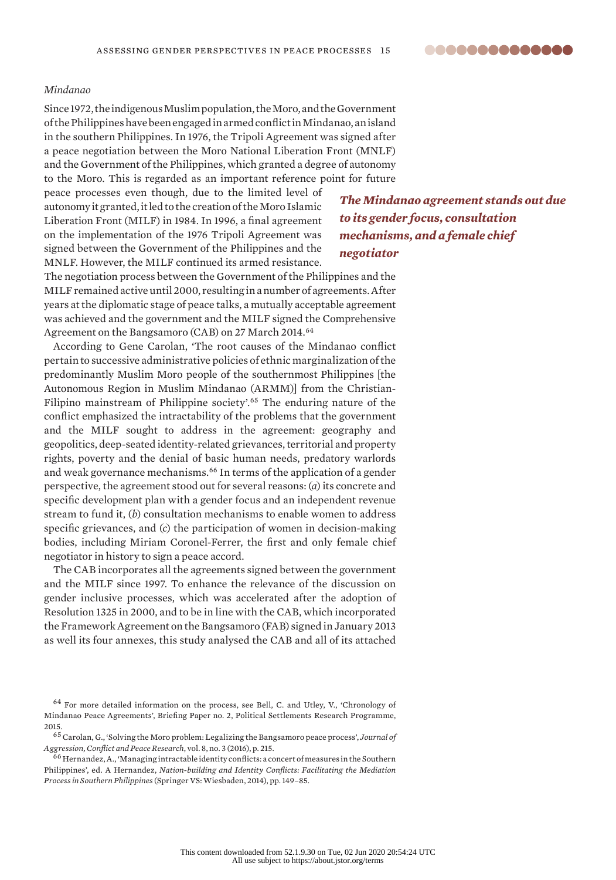**00000000000000** 

### *Mindanao*

Since 1972, the indigenous Muslim population, the Moro, and the Government of the Philippines have been engaged in armed conflict in Mindanao, an island in the southern Philippines. In 1976, the Tripoli Agreement was signed after a peace negotiation between the Moro National Liberation Front (MNLF) and the Government of the Philippines, which granted a degree of autonomy to the Moro. This is regarded as an important reference point for future

peace processes even though, due to the limited level of autonomy it granted, it led to the creation of the Moro Islamic Liberation Front (MILF) in 1984. In 1996, a final agreement on the implementation of the 1976 Tripoli Agreement was signed between the Government of the Philippines and the MNLF. However, the MILF continued its armed resistance.

*The Mindanao agreement stands out due to its gender focus, consultation mechanisms, and a female chief negotiator*

The negotiation process between the Government of the Philippines and the MILF remained active until 2000, resulting in a number of agreements. After years at the diplomatic stage of peace talks, a mutually acceptable agreement was achieved and the government and the MILF signed the Comprehensive Agreement on the Bangsamoro (CAB) on 27 March 2014.<sup>64</sup>

According to Gene Carolan, 'The root causes of the Mindanao conflict pertain to successive administrative policies of ethnic marginalization of the predominantly Muslim Moro people of the southernmost Philippines [the Autonomous Region in Muslim Mindanao (ARMM)] from the Christian-Filipino mainstream of Philippine society'.<sup>65</sup> The enduring nature of the conflict emphasized the intractability of the problems that the government and the MILF sought to address in the agreement: geography and geopolitics, deep-seated identity-related grievances, territorial and property rights, poverty and the denial of basic human needs, predatory warlords and weak governance mechanisms.<sup>66</sup> In terms of the application of a gender perspective, the agreement stood out for several reasons: (*a*) its concrete and specific development plan with a gender focus and an independent revenue stream to fund it, (*b*) consultation mechanisms to enable women to address specific grievances, and (*c*) the participation of women in decision-making bodies, including Miriam Coronel-Ferrer, the first and only female chief negotiator in history to sign a peace accord.

The CAB incorporates all the agreements signed between the government and the MILF since 1997. To enhance the relevance of the discussion on gender inclusive processes, which was accelerated after the adoption of Resolution 1325 in 2000, and to be in line with the CAB, which incorporated the Framework Agreement on the Bangsamoro (FAB) signed in January 2013 as well its four annexes, this study analysed the CAB and all of its attached

<sup>64</sup> For more detailed information on the process, see Bell, C. and Utley, V., 'Chronology of Mindanao Peace Agreements', Briefing Paper no. 2, Political Settlements Research Programme, 2015.

<sup>65</sup> Carolan, G., 'Solving the Moro problem: Legalizing the Bangsamoro peace process', *Journal of Aggression, Conflict and Peace Research*, vol. 8, no. 3 (2016), p. 215.

<sup>66</sup> Hernandez, A., 'Managing intractable identity conflicts: a concert of measures in the Southern Philippines', ed. A Hernandez, *Nation-building and Identity Conflicts: Facilitating the Mediation Process in Southern Philippines* (Springer VS: Wiesbaden, 2014), pp. 149–85.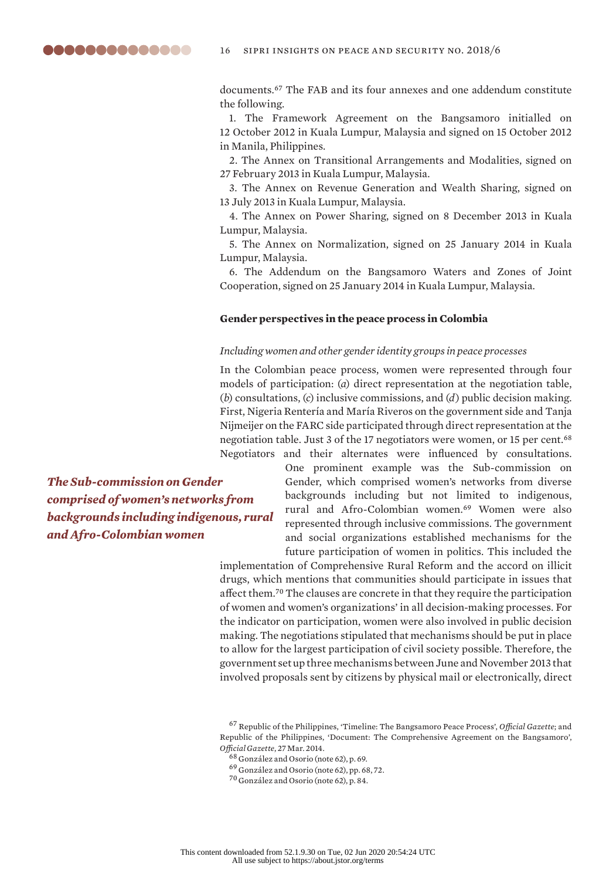documents.<sup>67</sup> The FAB and its four annexes and one addendum constitute the following.

1. The Framework Agreement on the Bangsamoro initialled on 12 October 2012 in Kuala Lumpur, Malaysia and signed on 15 October 2012 in Manila, Philippines.

2. The Annex on Transitional Arrangements and Modalities, signed on 27 February 2013 in Kuala Lumpur, Malaysia.

3. The Annex on Revenue Generation and Wealth Sharing, signed on 13 July 2013 in Kuala Lumpur, Malaysia.

4. The Annex on Power Sharing, signed on 8 December 2013 in Kuala Lumpur, Malaysia.

5. The Annex on Normalization, signed on 25 January 2014 in Kuala Lumpur, Malaysia.

6. The Addendum on the Bangsamoro Waters and Zones of Joint Cooperation, signed on 25 January 2014 in Kuala Lumpur, Malaysia.

#### **Gender perspectives in the peace process in Colombia**

#### *Including women and other gender identity groups in peace processes*

In the Colombian peace process, women were represented through four models of participation: (*a*) direct representation at the negotiation table, (*b*) consultations, (*c*) inclusive commissions, and (*d*) public decision making. First, Nigeria Rentería and María Riveros on the government side and Tanja Nijmeijer on the FARC side participated through direct representation at the negotiation table. Just 3 of the 17 negotiators were women, or 15 per cent.<sup>68</sup> Negotiators and their alternates were influenced by consultations.

*The Sub-commission on Gender comprised of women's networks from backgrounds including indigenous, rural and Afro-Colombian women*

One prominent example was the Sub-commission on Gender, which comprised women's networks from diverse backgrounds including but not limited to indigenous, rural and Afro-Colombian women.<sup>69</sup> Women were also represented through inclusive commissions. The government and social organizations established mechanisms for the future participation of women in politics. This included the

implementation of Comprehensive Rural Reform and the accord on illicit drugs, which mentions that communities should participate in issues that affect them.<sup>70</sup> The clauses are concrete in that they require the participation of women and women's organizations' in all decision-making processes. For the indicator on participation, women were also involved in public decision making. The negotiations stipulated that mechanisms should be put in place to allow for the largest participation of civil society possible. Therefore, the government set up three mechanisms between June and November 2013 that involved proposals sent by citizens by physical mail or electronically, direct

<sup>67</sup> Republic of the Philippines, ['Timeline: The Bangsamoro Peace Process'](http://www.officialgazette.gov.ph/bangsamoro2/timeline/), *Official Gazette*; and Republic of the Philippines, '[Document: The Comprehensive Agreement on the Bangsamoro](http://www.officialgazette.gov.ph/2014/03/27/document-cab/)', *Official Gazette*, 27 Mar. 2014.

<sup>69</sup> González and Osorio (note 62), pp. 68, 72.

<sup>68</sup> González and Osorio (note 62), p. 69.

<sup>70</sup> González and Osorio (note 62), p. 84.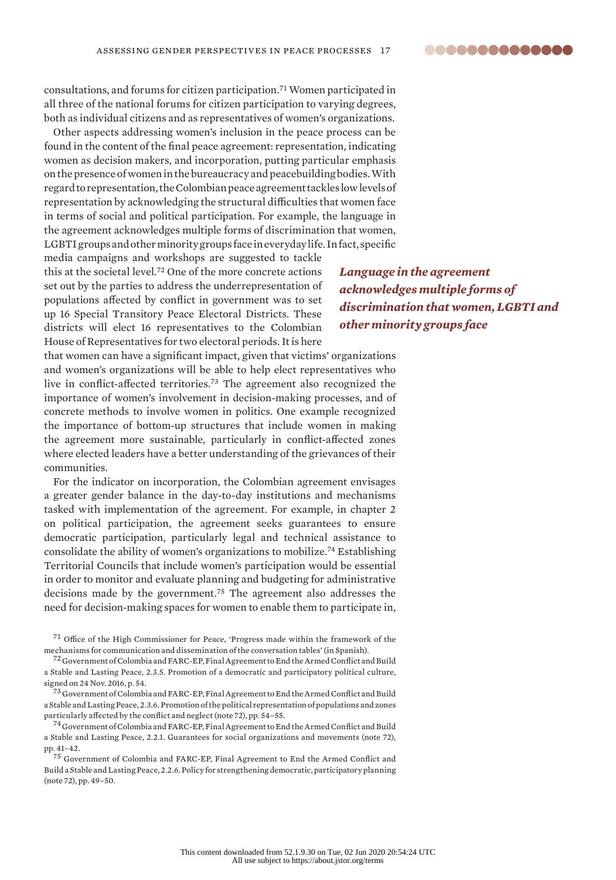

consultations, and forums for citizen participation.<sup>71</sup> Women participated in all three of the national forums for citizen participation to varying degrees, both as individual citizens and as representatives of women's organizations.

Other aspects addressing women's inclusion in the peace process can be found in the content of the final peace agreement: representation, indicating women as decision makers, and incorporation, putting particular emphasis on the presence of women in the bureaucracy and peacebuilding bodies. With regard to representation, the Colombian peace agreement tackles low levels of representation by acknowledging the structural difficulties that women face in terms of social and political participation. For example, the language in the agreement acknowledges multiple forms of discrimination that women, LGBTI groups and other minority groups face in everyday life. In fact, specific

media campaigns and workshops are suggested to tackle this at the societal level.<sup>72</sup> One of the more concrete actions set out by the parties to address the underrepresentation of populations affected by conflict in government was to set up 16 Special Transitory Peace Electoral Districts. These districts will elect 16 representatives to the Colombian House of Representatives for two electoral periods. It is here

that women can have a significant impact, given that victims' organizations and women's organizations will be able to help elect representatives who live in conflict-affected territories.<sup>73</sup> The agreement also recognized the importance of women's involvement in decision-making processes, and of concrete methods to involve women in politics. One example recognized the importance of bottom-up structures that include women in making the agreement more sustainable, particularly in conflict-affected zones where elected leaders have a better understanding of the grievances of their communities.

For the indicator on incorporation, the Colombian agreement envisages a greater gender balance in the day-to-day institutions and mechanisms tasked with implementation of the agreement. For example, in chapter 2 on political participation, the agreement seeks guarantees to ensure democratic participation, particularly legal and technical assistance to consolidate the ability of women's organizations to mobilize.<sup>74</sup> Establishing Territorial Councils that include women's participation would be essential in order to monitor and evaluate planning and budgeting for administrative decisions made by the government.<sup>75</sup> The agreement also addresses the need for decision-making spaces for women to enable them to participate in,

<sup>71</sup> Office of the High Commissioner for Peace, '[Progress made within the framework of the](http://www.altocomisionadoparalapaz.gov.co/procesos-y-conversaciones/proceso-de-paz-con-las-farc-ep/Paginas/Avances-Alcanzados-en-el-marco-de-los-mecanismos.aspx)  [mechanisms for communication and dissemination of the conversation tables'](http://www.altocomisionadoparalapaz.gov.co/procesos-y-conversaciones/proceso-de-paz-con-las-farc-ep/Paginas/Avances-Alcanzados-en-el-marco-de-los-mecanismos.aspx) (in Spanish).

<sup>72</sup> Government of Colombia and FARC-EP, [Final Agreement to End the Armed Conflict and Build](http://especiales.presidencia.gov.co/Documents/20170620-dejacion-armas/acuerdos/acuerdo-final-ingles.pdf)  [a Stable and Lasting Peace](http://especiales.presidencia.gov.co/Documents/20170620-dejacion-armas/acuerdos/acuerdo-final-ingles.pdf), 2.3.5. Promotion of a democratic and participatory political culture, signed on 24 Nov. 2016, p. 54.

<sup>73</sup> Government of Colombia and FARC-EP, Final Agreement to End the Armed Conflict and Build a Stable and Lasting Peace, 2.3.6. Promotion of the political representation of populations and zones particularly affected by the conflict and neglect (note 72), pp. 54–55.

 $^{74}$  Government of Colombia and FARC-EP, Final Agreement to End the Armed Conflict and Build a Stable and Lasting Peace, 2.2.1. Guarantees for social organizations and movements (note 72), pp. 41–42.

<sup>75</sup> Government of Colombia and FARC-EP, Final Agreement to End the Armed Conflict and Build a Stable and Lasting Peace, 2.2.6. Policy for strengthening democratic, participatory planning (note 72), pp. 49–50.

*Language in the agreement acknowledges multiple forms of discrimination that women, LGBTI and other minority groups face*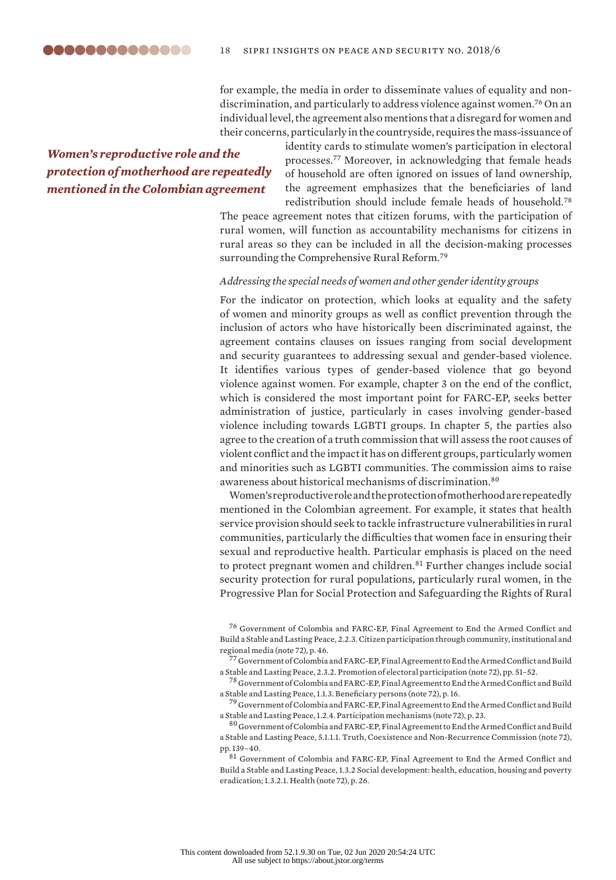

for example, the media in order to disseminate values of equality and nondiscrimination, and particularly to address violence against women.<sup>76</sup> On an individual level, the agreement also mentions that a disregard for women and their concerns, particularly in the countryside, requires the mass-issuance of

# *Women's reproductive role and the protection of motherhood are repeatedly mentioned in the Colombian agreement*

identity cards to stimulate women's participation in electoral processes.<sup>77</sup> Moreover, in acknowledging that female heads of household are often ignored on issues of land ownership, the agreement emphasizes that the beneficiaries of land redistribution should include female heads of household.<sup>78</sup>

The peace agreement notes that citizen forums, with the participation of rural women, will function as accountability mechanisms for citizens in rural areas so they can be included in all the decision-making processes surrounding the Comprehensive Rural Reform.<sup>79</sup>

#### *Addressing the special needs of women and other gender identity groups*

For the indicator on protection, which looks at equality and the safety of women and minority groups as well as conflict prevention through the inclusion of actors who have historically been discriminated against, the agreement contains clauses on issues ranging from social development and security guarantees to addressing sexual and gender-based violence. It identifies various types of gender-based violence that go beyond violence against women. For example, chapter 3 on the end of the conflict, which is considered the most important point for FARC-EP, seeks better administration of justice, particularly in cases involving gender-based violence including towards LGBTI groups. In chapter 5, the parties also agree to the creation of a truth commission that will assess the root causes of violent conflict and the impact it has on different groups, particularly women and minorities such as LGBTI communities. The commission aims to raise awareness about historical mechanisms of discrimination.<sup>80</sup>

Women's reproductive role and the protection of motherhood are repeatedly mentioned in the Colombian agreement. For example, it states that health service provision should seek to tackle infrastructure vulnerabilities in rural communities, particularly the difficulties that women face in ensuring their sexual and reproductive health. Particular emphasis is placed on the need to protect pregnant women and children.<sup>81</sup> Further changes include social security protection for rural populations, particularly rural women, in the Progressive Plan for Social Protection and Safeguarding the Rights of Rural

<sup>76</sup> Government of Colombia and FARC-EP, Final Agreement to End the Armed Conflict and Build a Stable and Lasting Peace, 2.2.3. Citizen participation through community, institutional and regional media (note 72), p. 46.

 $^{77}$  Government of Colombia and FARC-EP, Final Agreement to End the Armed Conflict and Build a Stable and Lasting Peace, 2.3.2. Promotion of electoral participation (note 72), pp. 51–52.

<sup>78</sup> Government of Colombia and FARC-EP, Final Agreement to End the Armed Conflict and Build a Stable and Lasting Peace, 1.1.3. Beneficiary persons (note 72), p. 16.

<sup>79</sup> Government of Colombia and FARC-EP, Final Agreement to End the Armed Conflict and Build a Stable and Lasting Peace, 1.2.4. Participation mechanisms (note 72), p. 23.

<sup>80</sup> Government of Colombia and FARC-EP, Final Agreement to End the Armed Conflict and Build a Stable and Lasting Peace, 5.1.1.1. Truth, Coexistence and Non-Recurrence Commission (note 72), pp. 139–40.

<sup>81</sup> Government of Colombia and FARC-EP, Final Agreement to End the Armed Conflict and Build a Stable and Lasting Peace, 1.3.2 Social development: health, education, housing and poverty eradication; 1.3.2.1. Health (note 72), p. 26.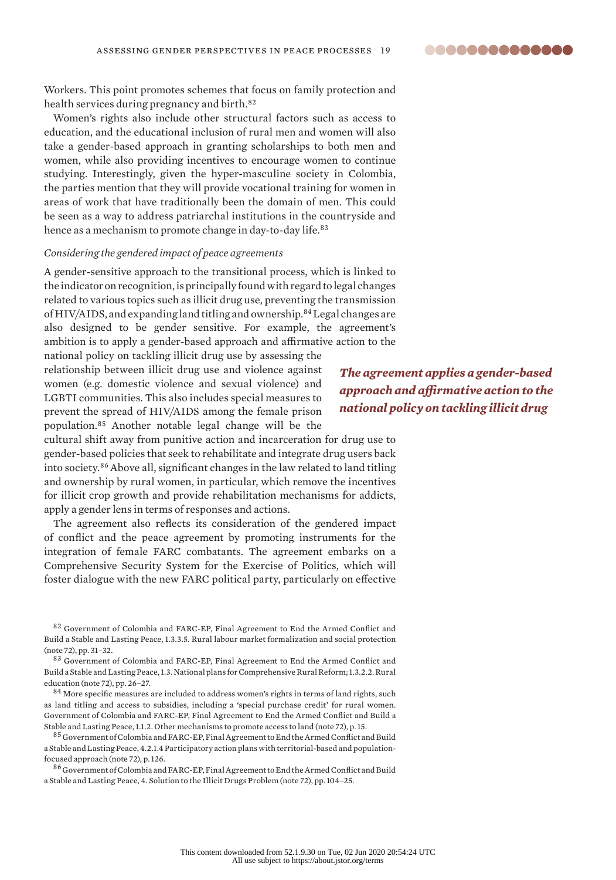

Workers. This point promotes schemes that focus on family protection and health services during pregnancy and birth.<sup>82</sup>

Women's rights also include other structural factors such as access to education, and the educational inclusion of rural men and women will also take a gender-based approach in granting scholarships to both men and women, while also providing incentives to encourage women to continue studying. Interestingly, given the hyper-masculine society in Colombia, the parties mention that they will provide vocational training for women in areas of work that have traditionally been the domain of men. This could be seen as a way to address patriarchal institutions in the countryside and hence as a mechanism to promote change in day-to-day life.<sup>83</sup>

### *Considering the gendered impact of peace agreements*

A gender-sensitive approach to the transitional process, which is linked to the indicator on recognition, is principally found with regard to legal changes related to various topics such as illicit drug use, preventing the transmission of HIV/AIDS, and expanding land titling and ownership.<sup>84</sup> Legal changes are also designed to be gender sensitive. For example, the agreement's ambition is to apply a gender-based approach and affirmative action to the

national policy on tackling illicit drug use by assessing the relationship between illicit drug use and violence against women (e.g. domestic violence and sexual violence) and LGBTI communities. This also includes special measures to prevent the spread of HIV/AIDS among the female prison population.<sup>85</sup> Another notable legal change will be the

cultural shift away from punitive action and incarceration for drug use to gender-based policies that seek to rehabilitate and integrate drug users back into society.<sup>86</sup> Above all, significant changes in the law related to land titling and ownership by rural women, in particular, which remove the incentives for illicit crop growth and provide rehabilitation mechanisms for addicts, apply a gender lens in terms of responses and actions.

The agreement also reflects its consideration of the gendered impact of conflict and the peace agreement by promoting instruments for the integration of female FARC combatants. The agreement embarks on a Comprehensive Security System for the Exercise of Politics, which will foster dialogue with the new FARC political party, particularly on effective

83 Government of Colombia and FARC-EP, Final Agreement to End the Armed Conflict and Build a Stable and Lasting Peace, 1.3. National plans for Comprehensive Rural Reform; 1.3.2.2. Rural education (note 72), pp. 26–27.

<sup>84</sup> More specific measures are included to address women's rights in terms of land rights, such as land titling and access to subsidies, including a 'special purchase credit' for rural women. Government of Colombia and FARC-EP, Final Agreement to End the Armed Conflict and Build a Stable and Lasting Peace, 1.1.2. Other mechanisms to promote access to land (note 72), p. 15.

<sup>85</sup> Government of Colombia and FARC-EP, Final Agreement to End the Armed Conflict and Build a Stable and Lasting Peace, 4.2.1.4 Participatory action plans with territorial-based and populationfocused approach (note 72), p. 126.

<sup>86</sup> Government of Colombia and FARC-EP, Final Agreement to End the Armed Conflict and Build a Stable and Lasting Peace, 4. Solution to the Illicit Drugs Problem (note 72), pp. 104–25.

*The agreement applies a gender-based approach and affirmative action to the national policy on tackling illicit drug*

<sup>82</sup> Government of Colombia and FARC-EP, Final Agreement to End the Armed Conflict and Build a Stable and Lasting Peace, 1.3.3.5. Rural labour market formalization and social protection (note 72), pp. 31–32.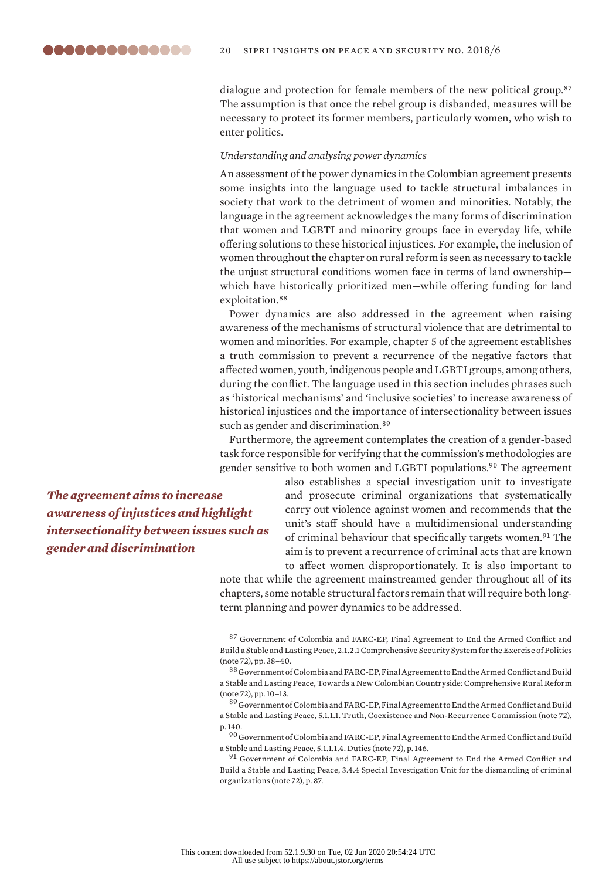dialogue and protection for female members of the new political group.<sup>87</sup> The assumption is that once the rebel group is disbanded, measures will be necessary to protect its former members, particularly women, who wish to enter politics.

#### *Understanding and analysing power dynamics*

An assessment of the power dynamics in the Colombian agreement presents some insights into the language used to tackle structural imbalances in society that work to the detriment of women and minorities. Notably, the language in the agreement acknowledges the many forms of discrimination that women and LGBTI and minority groups face in everyday life, while offering solutions to these historical injustices. For example, the inclusion of women throughout the chapter on rural reform is seen as necessary to tackle the unjust structural conditions women face in terms of land ownership which have historically prioritized men—while offering funding for land exploitation.<sup>88</sup>

Power dynamics are also addressed in the agreement when raising awareness of the mechanisms of structural violence that are detrimental to women and minorities. For example, chapter 5 of the agreement establishes a truth commission to prevent a recurrence of the negative factors that affected women, youth, indigenous people and LGBTI groups, among others, during the conflict. The language used in this section includes phrases such as 'historical mechanisms' and 'inclusive societies' to increase awareness of historical injustices and the importance of intersectionality between issues such as gender and discrimination.<sup>89</sup>

Furthermore, the agreement contemplates the creation of a gender-based task force responsible for verifying that the commission's methodologies are gender sensitive to both women and LGBTI populations.<sup>90</sup> The agreement

*The agreement aims to increase awareness of injustices and highlight intersectionality between issues such as gender and discrimination*

also establishes a special investigation unit to investigate and prosecute criminal organizations that systematically carry out violence against women and recommends that the unit's staff should have a multidimensional understanding of criminal behaviour that specifically targets women.<sup>91</sup> The aim is to prevent a recurrence of criminal acts that are known to affect women disproportionately. It is also important to

note that while the agreement mainstreamed gender throughout all of its chapters, some notable structural factors remain that will require both longterm planning and power dynamics to be addressed.

<sup>87</sup> Government of Colombia and FARC-EP, Final Agreement to End the Armed Conflict and Build a Stable and Lasting Peace, 2.1.2.1 Comprehensive Security System for the Exercise of Politics (note 72), pp. 38–40.

<sup>88</sup> Government of Colombia and FARC-EP, Final Agreement to End the Armed Conflict and Build a Stable and Lasting Peace, Towards a New Colombian Countryside: Comprehensive Rural Reform (note 72), pp. 10–13.

<sup>89</sup> Government of Colombia and FARC-EP, Final Agreement to End the Armed Conflict and Build a Stable and Lasting Peace, 5.1.1.1. Truth, Coexistence and Non-Recurrence Commission (note 72), p. 140.

 $^{90}$  Government of Colombia and FARC-EP, Final Agreement to End the Armed Conflict and Build a Stable and Lasting Peace, 5.1.1.1.4. Duties (note 72), p. 146.

<sup>91</sup> Government of Colombia and FARC-EP, Final Agreement to End the Armed Conflict and Build a Stable and Lasting Peace, 3.4.4 Special Investigation Unit for the dismantling of criminal organizations (note 72), p. 87.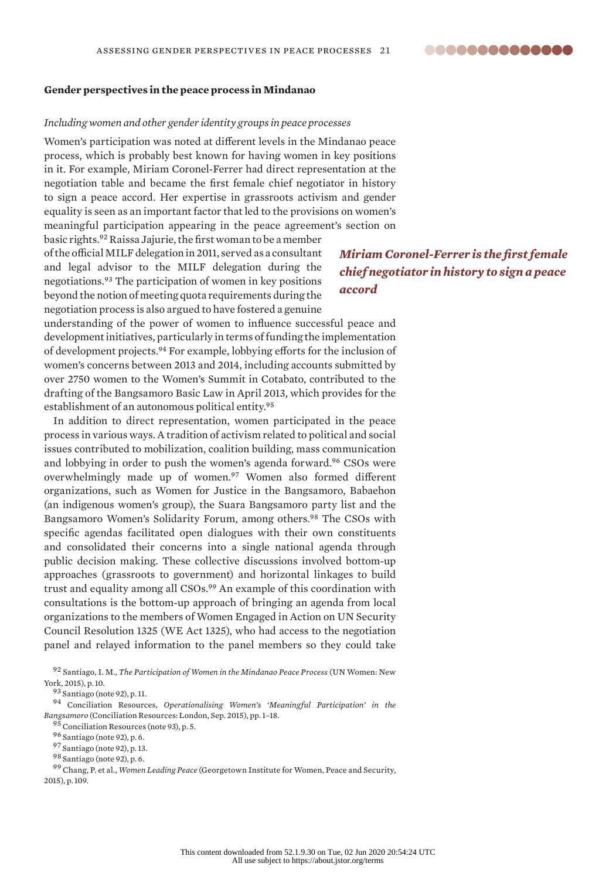# ..............

### **Gender perspectives in the peace process in Mindanao**

#### *Including women and other gender identity groups in peace processes*

Women's participation was noted at different levels in the Mindanao peace process, which is probably best known for having women in key positions in it. For example, Miriam Coronel-Ferrer had direct representation at the negotiation table and became the first female chief negotiator in history to sign a peace accord. Her expertise in grassroots activism and gender equality is seen as an important factor that led to the provisions on women's meaningful participation appearing in the peace agreement's section on

basic rights.<sup>92</sup> Raissa Jajurie, the first woman to be a member of the official MILF delegation in 2011, served as a consultant and legal advisor to the MILF delegation during the negotiations.<sup>93</sup> The participation of women in key positions beyond the notion of meeting quota requirements during the negotiation process is also argued to have fostered a genuine

# *Miriam Coronel-Ferrer is the first female chief negotiator in history to sign a peace accord*

understanding of the power of women to influence successful peace and development initiatives, particularly in terms of funding the implementation of development projects.<sup>94</sup> For example, lobbying efforts for the inclusion of women's concerns between 2013 and 2014, including accounts submitted by over 2750 women to the Women's Summit in Cotabato, contributed to the drafting of the Bangsamoro Basic Law in April 2013, which provides for the establishment of an autonomous political entity.<sup>95</sup>

In addition to direct representation, women participated in the peace process in various ways. A tradition of activism related to political and social issues contributed to mobilization, coalition building, mass communication and lobbying in order to push the women's agenda forward.<sup>96</sup> CSOs were overwhelmingly made up of women.<sup>97</sup> Women also formed different organizations, such as Women for Justice in the Bangsamoro, Babaehon (an indigenous women's group), the Suara Bangsamoro party list and the Bangsamoro Women's Solidarity Forum, among others.<sup>98</sup> The CSOs with specific agendas facilitated open dialogues with their own constituents and consolidated their concerns into a single national agenda through public decision making. These collective discussions involved bottom-up approaches (grassroots to government) and horizontal linkages to build trust and equality among all CSOs.<sup>99</sup> An example of this coordination with consultations is the bottom-up approach of bringing an agenda from local organizations to the members of Women Engaged in Action on UN Security Council Resolution 1325 (WE Act 1325), who had access to the negotiation panel and relayed information to the panel members so they could take

<sup>92</sup> Santiago, I. M., *The Participation of Women in the Mindanao Peace Process* (UN Women: New York, 2015), p. 10.

<sup>93</sup> Santiago (note 92), p. 11.

<sup>94</sup> Conciliation Resources, *Operationalising Women's 'Meaningful Participation' in the Bangsamoro* (Conciliation Resources: London, Sep. 2015), pp. 1–18.

<sup>95</sup> Conciliation Resources (note 93), p. 5.

<sup>96</sup> Santiago (note 92), p. 6.

<sup>98</sup> Santiago (note 92), p. 6.

<sup>99</sup> Chang, P. et al., *Women Leading Peace* (Georgetown Institute for Women, Peace and Security, 2015), p. 109.

<sup>97</sup> Santiago (note 92), p. 13.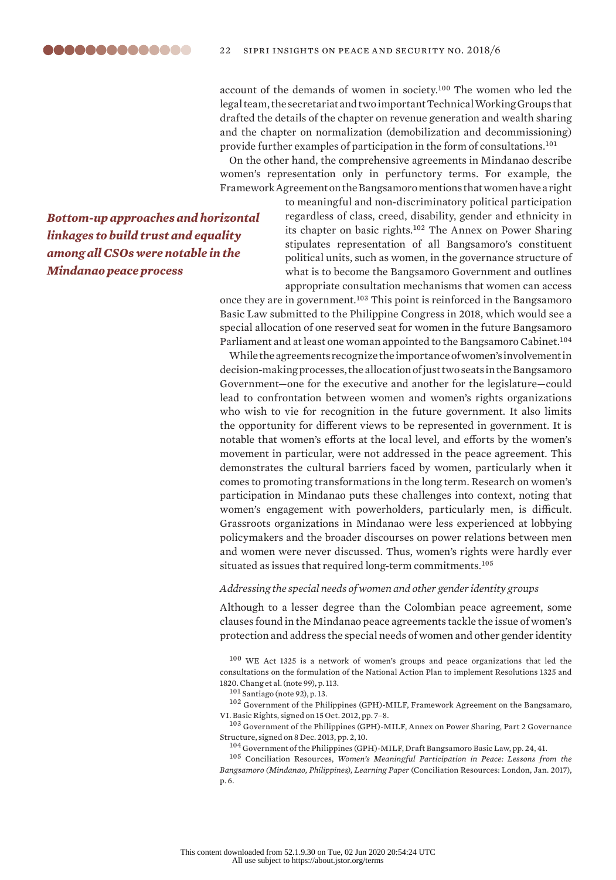account of the demands of women in society.<sup>100</sup> The women who led the legal team, the secretariat and two important Technical Working Groups that drafted the details of the chapter on revenue generation and wealth sharing and the chapter on normalization (demobilization and decommissioning) provide further examples of participation in the form of consultations.<sup>101</sup>

On the other hand, the comprehensive agreements in Mindanao describe women's representation only in perfunctory terms. For example, the Framework Agreement on the Bangsamoro mentions that women have a right

*Bottom-up approaches and horizontal linkages to build trust and equality among all CSOs were notable in the Mindanao peace process*

to meaningful and non-discriminatory political participation regardless of class, creed, disability, gender and ethnicity in its chapter on basic rights.<sup>102</sup> The Annex on Power Sharing stipulates representation of all Bangsamoro's constituent political units, such as women, in the governance structure of what is to become the Bangsamoro Government and outlines appropriate consultation mechanisms that women can access

once they are in government.<sup>103</sup> This point is reinforced in the Bangsamoro Basic Law submitted to the Philippine Congress in 2018, which would see a special allocation of one reserved seat for women in the future Bangsamoro Parliament and at least one woman appointed to the Bangsamoro Cabinet.<sup>104</sup>

While the agreements recognize the importance of women's involvement in decision-making processes, the allocation of just two seats in the Bangsamoro Government—one for the executive and another for the legislature—could lead to confrontation between women and women's rights organizations who wish to vie for recognition in the future government. It also limits the opportunity for different views to be represented in government. It is notable that women's efforts at the local level, and efforts by the women's movement in particular, were not addressed in the peace agreement. This demonstrates the cultural barriers faced by women, particularly when it comes to promoting transformations in the long term. Research on women's participation in Mindanao puts these challenges into context, noting that women's engagement with powerholders, particularly men, is difficult. Grassroots organizations in Mindanao were less experienced at lobbying policymakers and the broader discourses on power relations between men and women were never discussed. Thus, women's rights were hardly ever situated as issues that required long-term commitments.<sup>105</sup>

#### *Addressing the special needs of women and other gender identity groups*

Although to a lesser degree than the Colombian peace agreement, some clauses found in the Mindanao peace agreements tackle the issue of women's protection and address the special needs of women and other gender identity

<sup>100</sup> WE Act 1325 is a network of women's groups and peace organizations that led the consultations on the formulation of the National Action Plan to implement Resolutions 1325 and 1820. Chang et al. (note 99), p. 113.

<sup>101</sup> Santiago (note 92), p. 13.

<sup>102</sup> Government of the Philippines (GPH)-MILF, [Framework Agreement on the Bangsamaro,](http://www.officialgazette.gov.ph/downloads/2012/10oct/20121012-Framework-Agreement-on-the-Bangsamoro.pdf) VI. Basic Rights, signed on 15 Oct. 2012, pp. 7–8.

<sup>103</sup> Government of the Philippines (GPH)-MILF, [Annex on Power Sharing](http://www.officialgazette.gov.ph/downloads/2013/12dec/20131208-Annex-on-Power-Sharing.pdf), Part 2 Governance Structure, signed on 8 Dec. 2013, pp. 2, 10.

 $^{104}$  Government of the Philippines (GPH)-MILF, [Draft Bangsamoro Basic Law](https://www.scribd.com/document/354040396/FULL-TEXT-Draft-Bangsamoro-Basic-Law#from_embed), pp. 24, 41.

<sup>105</sup> Conciliation Resources, *Women's Meaningful Participation in Peace: Lessons from the Bangsamoro (Mindanao, Philippines), Learning Paper* (Conciliation Resources: London, Jan. 2017), p. 6.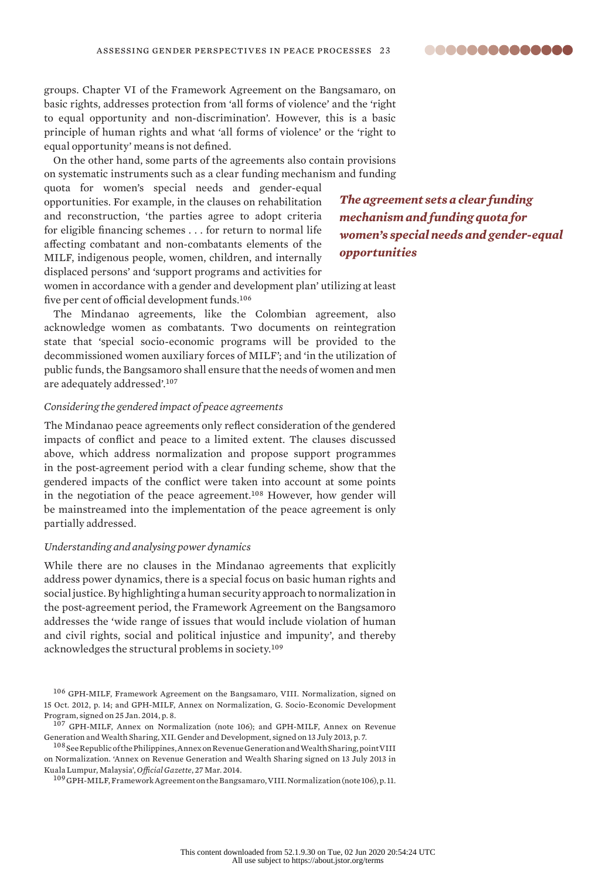

groups. Chapter VI of the Framework Agreement on the Bangsamaro, on basic rights, addresses protection from 'all forms of violence' and the 'right to equal opportunity and non-discrimination'. However, this is a basic principle of human rights and what 'all forms of violence' or the 'right to equal opportunity' means is not defined.

On the other hand, some parts of the agreements also contain provisions on systematic instruments such as a clear funding mechanism and funding

quota for women's special needs and gender-equal opportunities. For example, in the clauses on rehabilitation and reconstruction, 'the parties agree to adopt criteria for eligible financing schemes . . . for return to normal life affecting combatant and non-combatants elements of the MILF, indigenous people, women, children, and internally displaced persons' and 'support programs and activities for

*The agreement sets a clear funding mechanism and funding quota for women's special needs and gender-equal opportunities*

women in accordance with a gender and development plan' utilizing at least five per cent of official development funds.<sup>106</sup>

The Mindanao agreements, like the Colombian agreement, also acknowledge women as combatants. Two documents on reintegration state that 'special socio-economic programs will be provided to the decommissioned women auxiliary forces of MILF'; and 'in the utilization of public funds, the Bangsamoro shall ensure that the needs of women and men are adequately addressed'.<sup>107</sup>

# *Considering the gendered impact of peace agreements*

The Mindanao peace agreements only reflect consideration of the gendered impacts of conflict and peace to a limited extent. The clauses discussed above, which address normalization and propose support programmes in the post-agreement period with a clear funding scheme, show that the gendered impacts of the conflict were taken into account at some points in the negotiation of the peace agreement.<sup>108</sup> However, how gender will be mainstreamed into the implementation of the peace agreement is only partially addressed.

#### *Understanding and analysing power dynamics*

While there are no clauses in the Mindanao agreements that explicitly address power dynamics, there is a special focus on basic human rights and social justice. By highlighting a human security approach to normalization in the post-agreement period, the Framework Agreement on the Bangsamoro addresses the 'wide range of issues that would include violation of human and civil rights, social and political injustice and impunity', and thereby acknowledges the structural problems in society.<sup>109</sup>

<sup>106</sup> GPH-MILF, [Framework Agreement on the Bangsamaro,](http://www.officialgazette.gov.ph/downloads/2012/10oct/20121012-Framework-Agreement-on-the-Bangsamoro.pdf) VIII. Normalization, signed on 15 Oct. 2012, p. 14; and GPH-MILF, [Annex on Normalization](http://www.officialgazette.gov.ph/downloads/2014/01jan/20140125-Annex-on-Normalization.pdf), G. Socio-Economic Development Program, signed on 25 Jan. 2014, p. 8.

<sup>107</sup> GPH-MILF, Annex on Normalization (note 106); and GPH-MILF, [Annex on Revenue](http://www.officialgazette.gov.ph/downloads/2013/07jul/20130713-Annex-on-Revenue-Generation-and-WS.pdf)  [Generation and Wealth Sharing](http://www.officialgazette.gov.ph/downloads/2013/07jul/20130713-Annex-on-Revenue-Generation-and-WS.pdf), XII. Gender and Development, signed on 13 July 2013, p. 7.

 $^{108}\rm{See}$  Republic of the Philippines, Annex on Revenue Generation and Wealth Sharing, point VIII on Normalization. ['Annex on Revenue Generation and Wealth Sharing signed on 13 July 2013 in](http://www.officialgazette.gov.ph/downloads/2013/07jul/20130713-Annex-on-Revenue-Generation-and-WS.pdf)  [Kuala Lumpur, Malaysia'](http://www.officialgazette.gov.ph/downloads/2013/07jul/20130713-Annex-on-Revenue-Generation-and-WS.pdf), *Official Gazette*, 27 Mar. 2014.

<sup>109</sup> GPH-MILF, Framework Agreement on the Bangsamaro, VIII. Normalization (note 106), p. 11.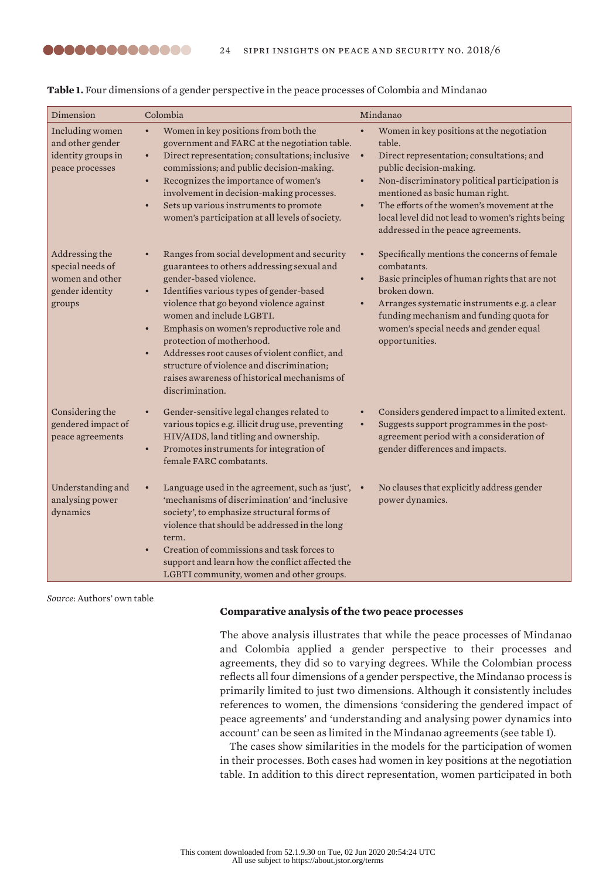| Dimension                                                                          | Colombia                                                                                                                                                                                                                                                                                                                                                                                                                                                                                                                   | Mindanao                                                                                                                                                                                                                                                                                                                                                                          |
|------------------------------------------------------------------------------------|----------------------------------------------------------------------------------------------------------------------------------------------------------------------------------------------------------------------------------------------------------------------------------------------------------------------------------------------------------------------------------------------------------------------------------------------------------------------------------------------------------------------------|-----------------------------------------------------------------------------------------------------------------------------------------------------------------------------------------------------------------------------------------------------------------------------------------------------------------------------------------------------------------------------------|
| Including women<br>and other gender<br>identity groups in<br>peace processes       | Women in key positions from both the<br>$\bullet$<br>government and FARC at the negotiation table.<br>Direct representation; consultations; inclusive<br>$\bullet$<br>commissions; and public decision-making.<br>Recognizes the importance of women's<br>$\bullet$<br>involvement in decision-making processes.<br>Sets up various instruments to promote<br>$\bullet$<br>women's participation at all levels of society.                                                                                                 | Women in key positions at the negotiation<br>table.<br>Direct representation; consultations; and<br>$\bullet$<br>public decision-making.<br>Non-discriminatory political participation is<br>$\bullet$<br>mentioned as basic human right.<br>The efforts of the women's movement at the<br>local level did not lead to women's rights being<br>addressed in the peace agreements. |
| Addressing the<br>special needs of<br>women and other<br>gender identity<br>groups | Ranges from social development and security<br>$\bullet$<br>guarantees to others addressing sexual and<br>gender-based violence.<br>Identifies various types of gender-based<br>$\bullet$<br>violence that go beyond violence against<br>women and include LGBTI.<br>Emphasis on women's reproductive role and<br>$\bullet$<br>protection of motherhood.<br>Addresses root causes of violent conflict, and<br>structure of violence and discrimination;<br>raises awareness of historical mechanisms of<br>discrimination. | Specifically mentions the concerns of female<br>$\bullet$<br>combatants.<br>Basic principles of human rights that are not<br>$\bullet$<br>broken down.<br>Arranges systematic instruments e.g. a clear<br>funding mechanism and funding quota for<br>women's special needs and gender equal<br>opportunities.                                                                     |
| Considering the<br>gendered impact of<br>peace agreements                          | Gender-sensitive legal changes related to<br>$\bullet$<br>various topics e.g. illicit drug use, preventing<br>HIV/AIDS, land titling and ownership.<br>Promotes instruments for integration of<br>$\bullet$<br>female FARC combatants.                                                                                                                                                                                                                                                                                     | Considers gendered impact to a limited extent.<br>Suggests support programmes in the post-<br>$\bullet$<br>agreement period with a consideration of<br>gender differences and impacts.                                                                                                                                                                                            |
| Understanding and<br>analysing power<br>dynamics                                   | Language used in the agreement, such as 'just', .<br>'mechanisms of discrimination' and 'inclusive<br>society', to emphasize structural forms of<br>violence that should be addressed in the long<br>term.<br>Creation of commissions and task forces to<br>$\bullet$<br>support and learn how the conflict affected the<br>LGBTI community, women and other groups.                                                                                                                                                       | No clauses that explicitly address gender<br>power dynamics.                                                                                                                                                                                                                                                                                                                      |

#### **Table 1.** Four dimensions of a gender perspective in the peace processes of Colombia and Mindanao

*Source*: Authors' own table

,,,,,,,,,,,,,,

# **Comparative analysis of the two peace processes**

The above analysis illustrates that while the peace processes of Mindanao and Colombia applied a gender perspective to their processes and agreements, they did so to varying degrees. While the Colombian process reflects all four dimensions of a gender perspective, the Mindanao process is primarily limited to just two dimensions. Although it consistently includes references to women, the dimensions 'considering the gendered impact of peace agreements' and 'understanding and analysing power dynamics into account' can be seen as limited in the Mindanao agreements (see table 1).

The cases show similarities in the models for the participation of women in their processes. Both cases had women in key positions at the negotiation table. In addition to this direct representation, women participated in both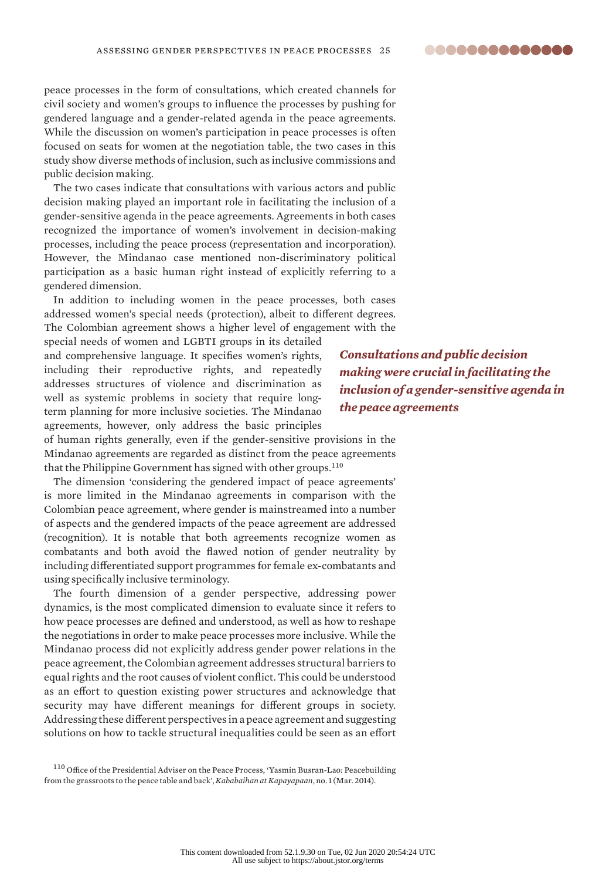**00000000000000** 

peace processes in the form of consultations, which created channels for civil society and women's groups to influence the processes by pushing for gendered language and a gender-related agenda in the peace agreements. While the discussion on women's participation in peace processes is often focused on seats for women at the negotiation table, the two cases in this study show diverse methods of inclusion, such as inclusive commissions and public decision making.

The two cases indicate that consultations with various actors and public decision making played an important role in facilitating the inclusion of a gender-sensitive agenda in the peace agreements. Agreements in both cases recognized the importance of women's involvement in decision-making processes, including the peace process (representation and incorporation). However, the Mindanao case mentioned non-discriminatory political participation as a basic human right instead of explicitly referring to a gendered dimension.

In addition to including women in the peace processes, both cases addressed women's special needs (protection), albeit to different degrees. The Colombian agreement shows a higher level of engagement with the

special needs of women and LGBTI groups in its detailed and comprehensive language. It specifies women's rights, including their reproductive rights, and repeatedly addresses structures of violence and discrimination as well as systemic problems in society that require longterm planning for more inclusive societies. The Mindanao agreements, however, only address the basic principles

of human rights generally, even if the gender-sensitive provisions in the Mindanao agreements are regarded as distinct from the peace agreements that the Philippine Government has signed with other groups.<sup>110</sup>

The dimension 'considering the gendered impact of peace agreements' is more limited in the Mindanao agreements in comparison with the Colombian peace agreement, where gender is mainstreamed into a number of aspects and the gendered impacts of the peace agreement are addressed (recognition). It is notable that both agreements recognize women as combatants and both avoid the flawed notion of gender neutrality by including differentiated support programmes for female ex-combatants and using specifically inclusive terminology.

The fourth dimension of a gender perspective, addressing power dynamics, is the most complicated dimension to evaluate since it refers to how peace processes are defined and understood, as well as how to reshape the negotiations in order to make peace processes more inclusive. While the Mindanao process did not explicitly address gender power relations in the peace agreement, the Colombian agreement addresses structural barriers to equal rights and the root causes of violent conflict. This could be understood as an effort to question existing power structures and acknowledge that security may have different meanings for different groups in society. Addressing these different perspectives in a peace agreement and suggesting solutions on how to tackle structural inequalities could be seen as an effort

<sup>110</sup> Office of the Presidential Adviser on the Peace Process, 'Yasmin Busran-Lao: Peacebuilding [from the grassroots to the peace table and back'](https://peace.gov.ph/wp-content/uploads/2014/06/Kababaihan-at-Kapayapaan-Issue-No-1.pdf), *Kababaihan at Kapayapaan*, no. 1 (Mar. 2014).

*Consultations and public decision making were crucial in facilitating the inclusion of a gender-sensitive agenda in the peace agreements*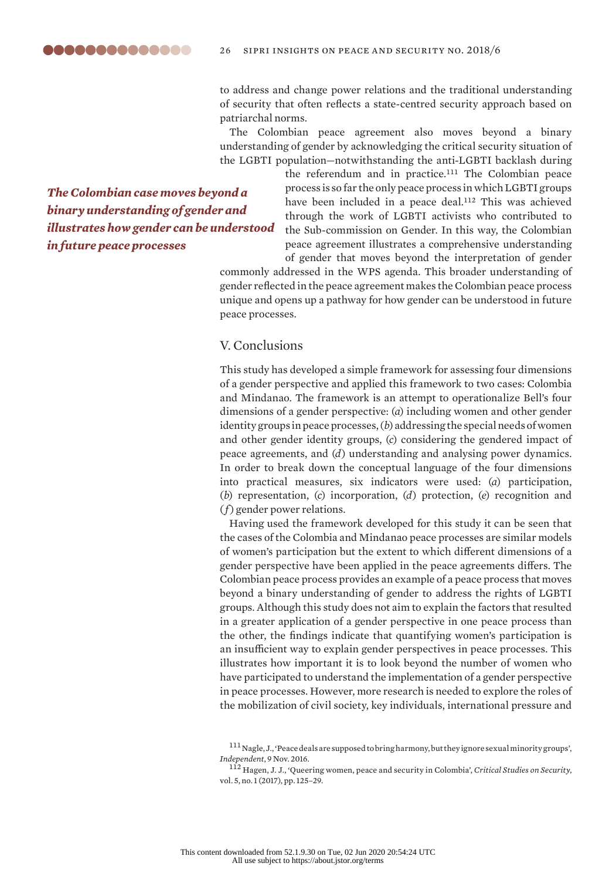to address and change power relations and the traditional understanding of security that often reflects a state-centred security approach based on patriarchal norms.

The Colombian peace agreement also moves beyond a binary understanding of gender by acknowledging the critical security situation of the LGBTI population—notwithstanding the anti-LGBTI backlash during

*The Colombian case moves beyond a binary understanding of gender and illustrates how gender can be understood in future peace processes*

the referendum and in practice.<sup>111</sup> The Colombian peace process is so far the only peace process in which LGBTI groups have been included in a peace deal.<sup>112</sup> This was achieved through the work of LGBTI activists who contributed to the Sub-commission on Gender. In this way, the Colombian peace agreement illustrates a comprehensive understanding of gender that moves beyond the interpretation of gender

commonly addressed in the WPS agenda. This broader understanding of gender reflected in the peace agreement makes the Colombian peace process unique and opens up a pathway for how gender can be understood in future peace processes.

# V. Conclusions

This study has developed a simple framework for assessing four dimensions of a gender perspective and applied this framework to two cases: Colombia and Mindanao. The framework is an attempt to operationalize Bell's four dimensions of a gender perspective: (*a*) including women and other gender identity groups in peace processes, (*b*) addressing the special needs of women and other gender identity groups, (*c*) considering the gendered impact of peace agreements, and (*d*) understanding and analysing power dynamics. In order to break down the conceptual language of the four dimensions into practical measures, six indicators were used: (*a*) participation, (*b*) representation, (*c*) incorporation, (*d*) protection, (*e*) recognition and (*f*) gender power relations.

Having used the framework developed for this study it can be seen that the cases of the Colombia and Mindanao peace processes are similar models of women's participation but the extent to which different dimensions of a gender perspective have been applied in the peace agreements differs. The Colombian peace process provides an example of a peace process that moves beyond a binary understanding of gender to address the rights of LGBTI groups. Although this study does not aim to explain the factors that resulted in a greater application of a gender perspective in one peace process than the other, the findings indicate that quantifying women's participation is an insufficient way to explain gender perspectives in peace processes. This illustrates how important it is to look beyond the number of women who have participated to understand the implementation of a gender perspective in peace processes. However, more research is needed to explore the roles of the mobilization of civil society, key individuals, international pressure and

<sup>111</sup> Nagle, J., '[Peace deals are supposed to bring harmony, but they ignore sexual minority groups](https://www.independent.co.uk/news/world/politics/peace-deals-are-supposed-to-bring-harmony-but-they-ignore-sexual-minority-groups-a7404156.html)', *Independent*, 9 Nov. 2016.

<sup>112</sup> Hagen, J. J., 'Queering women, peace and security in Colombia', *Critical Studies on Security*, vol. 5, no. 1 (2017), pp. 125–29.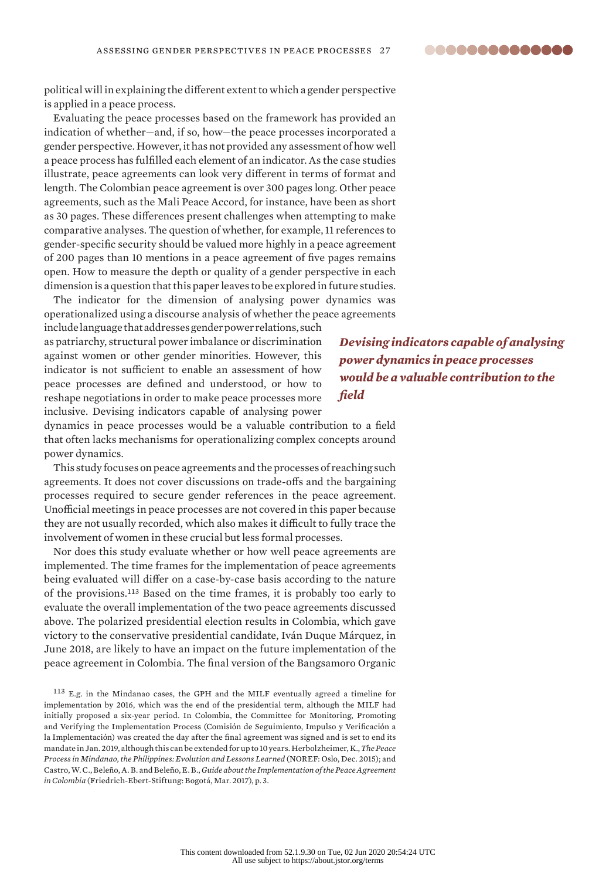**00000000000000** 

political will in explaining the different extent to which a gender perspective is applied in a peace process.

Evaluating the peace processes based on the framework has provided an indication of whether—and, if so, how—the peace processes incorporated a gender perspective. However, it has not provided any assessment of how well a peace process has fulfilled each element of an indicator. As the case studies illustrate, peace agreements can look very different in terms of format and length. The Colombian peace agreement is over 300 pages long. Other peace agreements, such as the Mali Peace Accord, for instance, have been as short as 30 pages. These differences present challenges when attempting to make comparative analyses. The question of whether, for example, 11 references to gender-specific security should be valued more highly in a peace agreement of 200 pages than 10 mentions in a peace agreement of five pages remains open. How to measure the depth or quality of a gender perspective in each dimension is a question that this paper leaves to be explored in future studies.

The indicator for the dimension of analysing power dynamics was operationalized using a discourse analysis of whether the peace agreements

include language that addresses gender power relations, such as patriarchy, structural power imbalance or discrimination against women or other gender minorities. However, this indicator is not sufficient to enable an assessment of how peace processes are defined and understood, or how to reshape negotiations in order to make peace processes more inclusive. Devising indicators capable of analysing power

*Devising indicators capable of analysing power dynamics in peace processes would be a valuable contribution to the field*

dynamics in peace processes would be a valuable contribution to a field that often lacks mechanisms for operationalizing complex concepts around power dynamics.

This study focuses on peace agreements and the processes of reaching such agreements. It does not cover discussions on trade-offs and the bargaining processes required to secure gender references in the peace agreement. Unofficial meetings in peace processes are not covered in this paper because they are not usually recorded, which also makes it difficult to fully trace the involvement of women in these crucial but less formal processes.

Nor does this study evaluate whether or how well peace agreements are implemented. The time frames for the implementation of peace agreements being evaluated will differ on a case-by-case basis according to the nature of the provisions.<sup>113</sup> Based on the time frames, it is probably too early to evaluate the overall implementation of the two peace agreements discussed above. The polarized presidential election results in Colombia, which gave victory to the conservative presidential candidate, Iván Duque Márquez, in June 2018, are likely to have an impact on the future implementation of the peace agreement in Colombia. The final version of the Bangsamoro Organic

<sup>113</sup> E.g. in the Mindanao cases, the GPH and the MILF eventually agreed a timeline for implementation by 2016, which was the end of the presidential term, although the MILF had initially proposed a six-year period. In Colombia, the Committee for Monitoring, Promoting and Verifying the Implementation Process (Comisión de Seguimiento, Impulso y Verificación a la Implementación) was created the day after the final agreement was signed and is set to end its mandate in Jan. 2019, although this can be extended for up to 10 years. Herbolzheimer, K., *[The Peace](https://www.c-r.org/downloads/a6c4f7339db9c90cd15a63c85405404e.pdf)  [Process in Mindanao, the Philippines: Evolution and Lessons Learned](https://www.c-r.org/downloads/a6c4f7339db9c90cd15a63c85405404e.pdf)* (NOREF: Oslo, Dec. 2015); and Castro, W. C., Beleño, A. B. and Beleño, E. B., *[Guide about the Implementation of the Peace Agreement](http://library.fes.de/pdf-files/bueros/kolumbien/13292.pdf)  [in Colombia](http://library.fes.de/pdf-files/bueros/kolumbien/13292.pdf)* (Friedrich-Ebert-Stiftung: Bogotá, Mar. 2017), p. 3.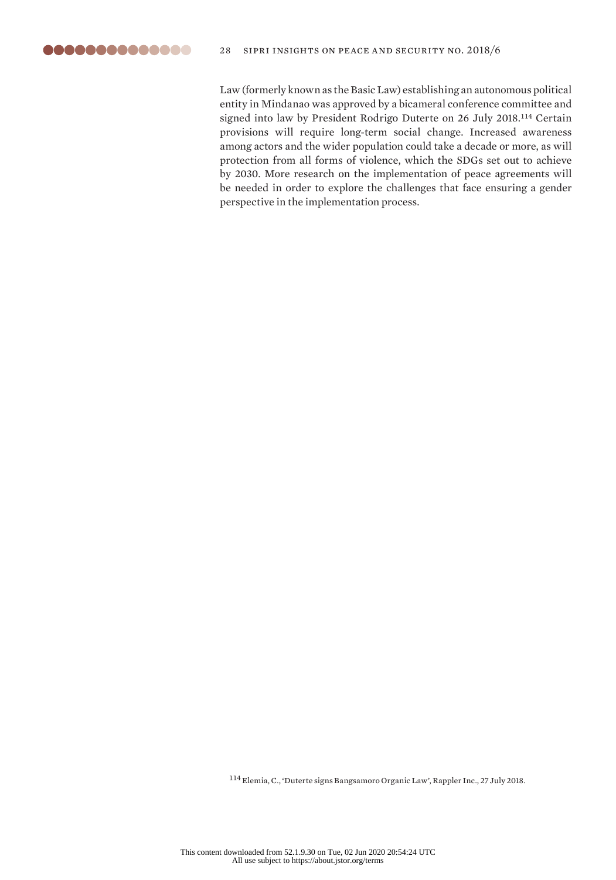

Law (formerly known as the Basic Law) establishing an autonomous political entity in Mindanao was approved by a bicameral conference committee and signed into law by President Rodrigo Duterte on 26 July 2018.<sup>114</sup> Certain provisions will require long-term social change. Increased awareness among actors and the wider population could take a decade or more, as will protection from all forms of violence, which the SDGs set out to achieve by 2030. More research on the implementation of peace agreements will be needed in order to explore the challenges that face ensuring a gender perspective in the implementation process.

<sup>114</sup> Elemia, C., '[Duterte signs Bangsamoro Organic Law'](https://www.rappler.com/nation/207952-duterte-signs-bangsamoro-organic-law), Rappler Inc., 27 July 2018.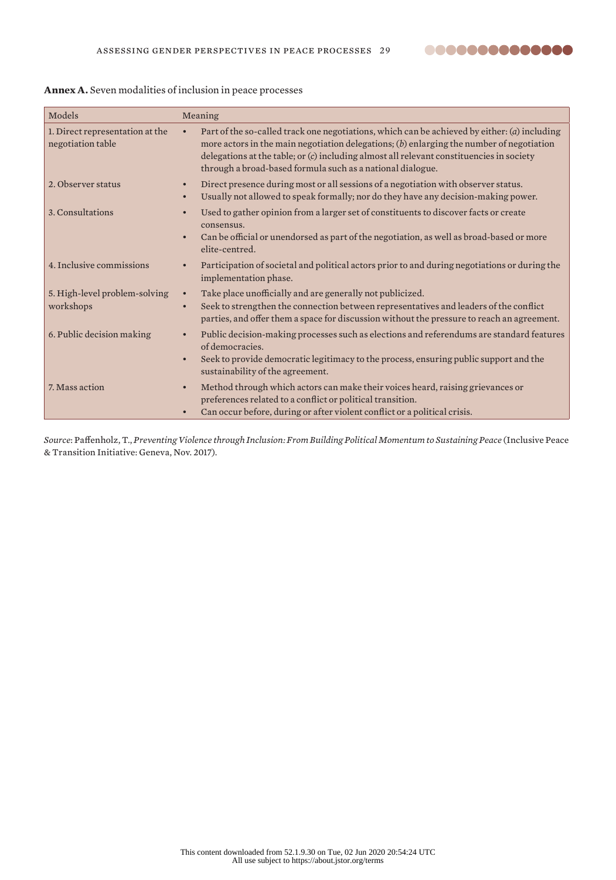| Models                                               | Meaning                                                                                                                                                                                                                                                                                                                                                           |
|------------------------------------------------------|-------------------------------------------------------------------------------------------------------------------------------------------------------------------------------------------------------------------------------------------------------------------------------------------------------------------------------------------------------------------|
| 1. Direct representation at the<br>negotiation table | Part of the so-called track one negotiations, which can be achieved by either: (a) including<br>$\bullet$<br>more actors in the main negotiation delegations; $(b)$ enlarging the number of negotiation<br>delegations at the table; or (c) including almost all relevant constituencies in society<br>through a broad-based formula such as a national dialogue. |
| 2. Observer status                                   | Direct presence during most or all sessions of a negotiation with observer status.<br>$\bullet$<br>Usually not allowed to speak formally; nor do they have any decision-making power.<br>$\bullet$                                                                                                                                                                |
| 3. Consultations                                     | Used to gather opinion from a larger set of constituents to discover facts or create<br>consensus.<br>Can be official or unendorsed as part of the negotiation, as well as broad-based or more<br>elite-centred.                                                                                                                                                  |
| 4. Inclusive commissions                             | Participation of societal and political actors prior to and during negotiations or during the<br>implementation phase.                                                                                                                                                                                                                                            |
| 5. High-level problem-solving<br>workshops           | Take place unofficially and are generally not publicized.<br>$\bullet$<br>Seek to strengthen the connection between representatives and leaders of the conflict<br>$\bullet$<br>parties, and offer them a space for discussion without the pressure to reach an agreement.                                                                                        |
| 6. Public decision making                            | Public decision-making processes such as elections and referendums are standard features<br>of democracies.<br>Seek to provide democratic legitimacy to the process, ensuring public support and the<br>sustainability of the agreement.                                                                                                                          |
| 7. Mass action                                       | Method through which actors can make their voices heard, raising grievances or<br>$\bullet$<br>preferences related to a conflict or political transition.<br>Can occur before, during or after violent conflict or a political crisis.                                                                                                                            |

# **Annex A.** Seven modalities of inclusion in peace processes

*Source*: Paffenholz, T., *Preventing Violence through Inclusion: From Building Political Momentum to Sustaining Peace* (Inclusive Peace & Transition Initiative: Geneva, Nov. 2017).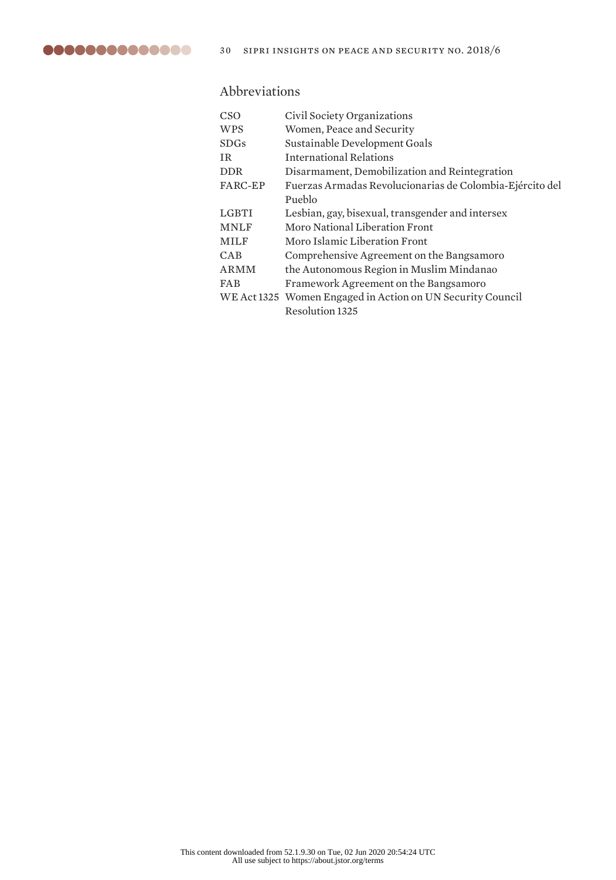

# Abbreviations

| CSO            | Civil Society Organizations                                |
|----------------|------------------------------------------------------------|
| <b>WPS</b>     | Women, Peace and Security                                  |
| <b>SDGs</b>    | Sustainable Development Goals                              |
| TR.            | International Relations                                    |
| <b>DDR</b>     | Disarmament, Demobilization and Reintegration              |
| <b>FARC-EP</b> | Fuerzas Armadas Revolucionarias de Colombia-Ejército del   |
|                | Pueblo                                                     |
| LGBTI          | Lesbian, gay, bisexual, transgender and intersex           |
| <b>MNLF</b>    | <b>Moro National Liberation Front</b>                      |
| <b>MILF</b>    | Moro Islamic Liberation Front                              |
| <b>CAB</b>     | Comprehensive Agreement on the Bangsamoro                  |
| ARMM           | the Autonomous Region in Muslim Mindanao                   |
| <b>FAB</b>     | Framework Agreement on the Bangsamoro                      |
|                | WE Act 1325 Women Engaged in Action on UN Security Council |
|                | <b>Resolution 1325</b>                                     |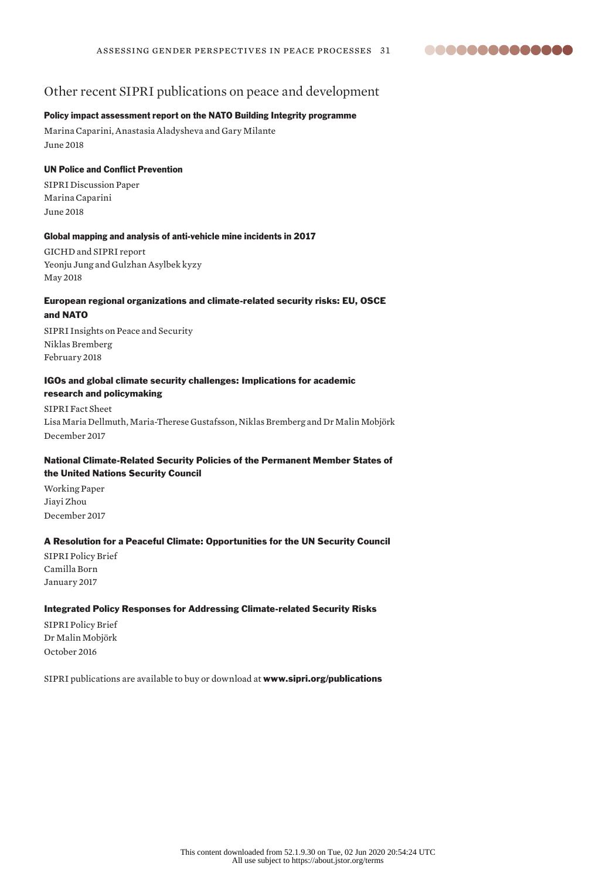

# Other recent SIPRI publications on peace and development

# Policy impact assessment report on the NATO Building Integrity programme

Marina Caparini, Anastasia Aladysheva and Gary Milante June 2018

#### UN Police and Conflict Prevention

SIPRI Discussion Paper Marina Caparini June 2018

#### Global mapping and analysis of anti-vehicle mine incidents in 2017

GICHD and SIPRI report Yeonju Jung and Gulzhan Asylbek kyzy May 2018

#### European regional organizations and climate-related security risks: EU, OSCE and NATO

SIPRI Insights on Peace and Security Niklas Bremberg February 2018

### IGOs and global climate security challenges: Implications for academic research and policymaking

SIPRI Fact Sheet Lisa Maria Dellmuth, Maria-Therese Gustafsson, Niklas Bremberg and Dr Malin Mobjörk December 2017

# National Climate-Related Security Policies of the Permanent Member States of the United Nations Security Council

Working Paper Jiayi Zhou December 2017

#### A Resolution for a Peaceful Climate: Opportunities for the UN Security Council

SIPRI Policy Brief Camilla Born January 2017

#### Integrated Policy Responses for Addressing Climate-related Security Risks

SIPRI Policy Brief Dr Malin Mobjörk October 2016

SIPRI publications are available to buy or download at www.sipri.org/publications